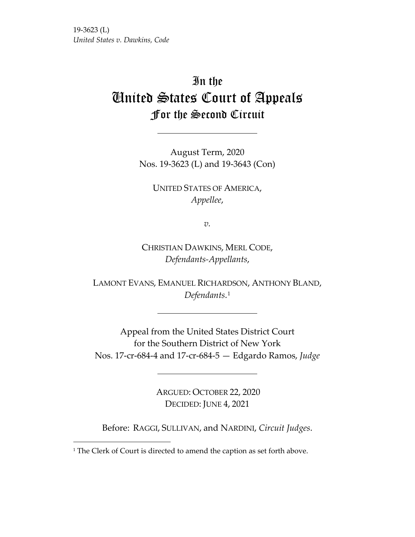19-3623 (L) *United States v. Dawkins, Code* 

# In the United States Court of Appeals For the Second Circuit

August Term, 2020 Nos. 19-3623 (L) and 19-3643 (Con)

UNITED STATES OF AMERICA, *Appellee*,

*v.*

CHRISTIAN DAWKINS, MERL CODE, *Defendants-Appellants*,

LAMONT EVANS, EMANUEL RICHARDSON, ANTHONY BLAND, *Defendants*.[1](#page-0-0)

Appeal from the United States District Court for the Southern District of New York Nos. 17-cr-684-4 and 17-cr-684-5 — Edgardo Ramos, *Judge*

> ARGUED: OCTOBER 22, 2020 DECIDED: JUNE 4, 2021

Before: RAGGI, SULLIVAN, and NARDINI, *Circuit Judges*.

<span id="page-0-0"></span><sup>&</sup>lt;sup>1</sup> The Clerk of Court is directed to amend the caption as set forth above.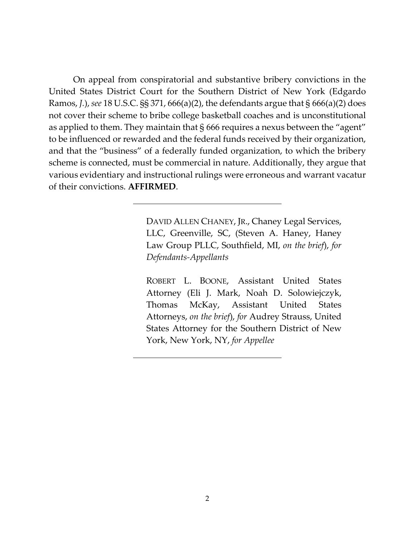On appeal from conspiratorial and substantive bribery convictions in the United States District Court for the Southern District of New York (Edgardo Ramos, *J.*), *see* 18 U.S.C. §§ 371, 666(a)(2), the defendants argue that § 666(a)(2) does not cover their scheme to bribe college basketball coaches and is unconstitutional as applied to them. They maintain that § 666 requires a nexus between the "agent" to be influenced or rewarded and the federal funds received by their organization, and that the "business" of a federally funded organization, to which the bribery scheme is connected, must be commercial in nature. Additionally, they argue that various evidentiary and instructional rulings were erroneous and warrant vacatur of their convictions. **AFFIRMED**.

> DAVID ALLEN CHANEY, JR., Chaney Legal Services, LLC, Greenville, SC, (Steven A. Haney, Haney Law Group PLLC, Southfield, MI, *on the brief*), *for Defendants-Appellants*

> ROBERT L. BOONE, Assistant United States Attorney (Eli J. Mark, Noah D. Solowiejczyk, Thomas McKay, Assistant United States Attorneys, *on the brief*), *for* Audrey Strauss, United States Attorney for the Southern District of New York, New York, NY, *for Appellee*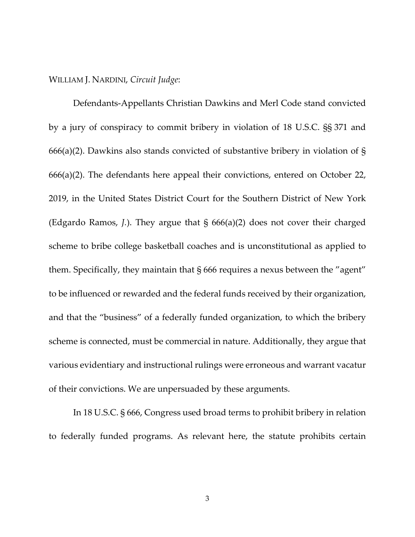#### WILLIAM J. NARDINI, *Circuit Judge*:

Defendants-Appellants Christian Dawkins and Merl Code stand convicted by a jury of conspiracy to commit bribery in violation of 18 U.S.C. §§ 371 and 666(a)(2). Dawkins also stands convicted of substantive bribery in violation of § 666(a)(2). The defendants here appeal their convictions, entered on October 22, 2019, in the United States District Court for the Southern District of New York (Edgardo Ramos, *J.*). They argue that § 666(a)(2) does not cover their charged scheme to bribe college basketball coaches and is unconstitutional as applied to them. Specifically, they maintain that § 666 requires a nexus between the "agent" to be influenced or rewarded and the federal funds received by their organization, and that the "business" of a federally funded organization, to which the bribery scheme is connected, must be commercial in nature. Additionally, they argue that various evidentiary and instructional rulings were erroneous and warrant vacatur of their convictions. We are unpersuaded by these arguments.

In 18 U.S.C. § 666, Congress used broad terms to prohibit bribery in relation to federally funded programs. As relevant here, the statute prohibits certain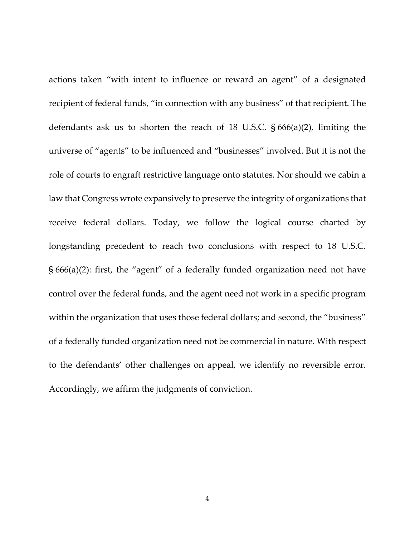actions taken "with intent to influence or reward an agent" of a designated recipient of federal funds, "in connection with any business" of that recipient. The defendants ask us to shorten the reach of 18 U.S.C. § 666(a)(2), limiting the universe of "agents" to be influenced and "businesses" involved. But it is not the role of courts to engraft restrictive language onto statutes. Nor should we cabin a law that Congress wrote expansively to preserve the integrity of organizations that receive federal dollars. Today, we follow the logical course charted by longstanding precedent to reach two conclusions with respect to 18 U.S.C. § 666(a)(2): first, the "agent" of a federally funded organization need not have control over the federal funds, and the agent need not work in a specific program within the organization that uses those federal dollars; and second, the "business" of a federally funded organization need not be commercial in nature. With respect to the defendants' other challenges on appeal, we identify no reversible error. Accordingly, we affirm the judgments of conviction.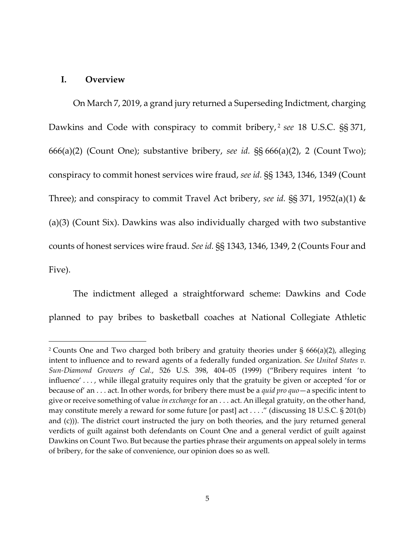#### **I. Overview**

On March 7, 2019, a grand jury returned a Superseding Indictment, charging Dawkins and Code with conspiracy to commit bribery, [2](#page-4-0) *see* 18 U.S.C. §§ 371, 666(a)(2) (Count One); substantive bribery, *see id.* §§ 666(a)(2), 2 (Count Two); conspiracy to commit honest services wire fraud, *see id.* §§ 1343, 1346, 1349 (Count Three); and conspiracy to commit Travel Act bribery, *see id.* §§ 371, 1952(a)(1) & (a)(3) (Count Six). Dawkins was also individually charged with two substantive counts of honest services wire fraud. *See id.* §§ 1343, 1346, 1349, 2 (Counts Four and Five).

The indictment alleged a straightforward scheme: Dawkins and Code planned to pay bribes to basketball coaches at National Collegiate Athletic

<span id="page-4-0"></span><sup>2</sup> Counts One and Two charged both bribery and gratuity theories under § 666(a)(2), alleging intent to influence and to reward agents of a federally funded organization. *See United States v. Sun-Diamond Growers of Cal.*, 526 U.S. 398, 404–05 (1999) ("Bribery requires intent 'to influence' . . . , while illegal gratuity requires only that the gratuity be given or accepted 'for or because of' an . . . act. In other words, for bribery there must be a *quid pro quo*—a specific intent to give or receive something of value *in exchange* for an . . . act. An illegal gratuity, on the other hand, may constitute merely a reward for some future [or past] act . . . ." (discussing 18 U.S.C. § 201(b) and (c))). The district court instructed the jury on both theories, and the jury returned general verdicts of guilt against both defendants on Count One and a general verdict of guilt against Dawkins on Count Two. But because the parties phrase their arguments on appeal solely in terms of bribery, for the sake of convenience, our opinion does so as well.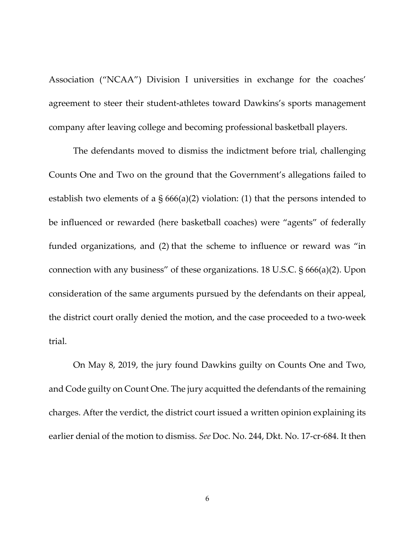Association ("NCAA") Division I universities in exchange for the coaches' agreement to steer their student-athletes toward Dawkins's sports management company after leaving college and becoming professional basketball players.

The defendants moved to dismiss the indictment before trial, challenging Counts One and Two on the ground that the Government's allegations failed to establish two elements of a  $\S 666(a)(2)$  violation: (1) that the persons intended to be influenced or rewarded (here basketball coaches) were "agents" of federally funded organizations, and (2) that the scheme to influence or reward was "in connection with any business" of these organizations. 18 U.S.C. § 666(a)(2). Upon consideration of the same arguments pursued by the defendants on their appeal, the district court orally denied the motion, and the case proceeded to a two-week trial.

On May 8, 2019, the jury found Dawkins guilty on Counts One and Two, and Code guilty on Count One. The jury acquitted the defendants of the remaining charges. After the verdict, the district court issued a written opinion explaining its earlier denial of the motion to dismiss. *See* Doc. No. 244, Dkt. No. 17-cr-684. It then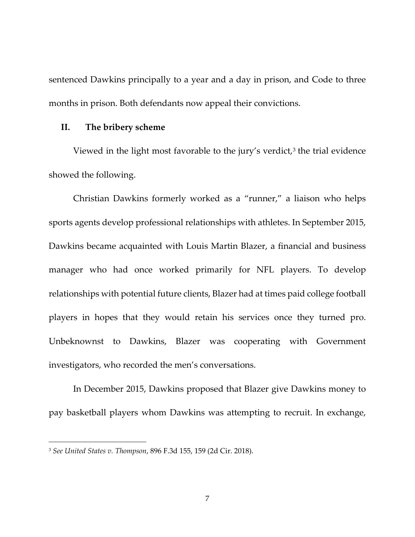sentenced Dawkins principally to a year and a day in prison, and Code to three months in prison. Both defendants now appeal their convictions.

#### **II. The bribery scheme**

Viewed in the light most favorable to the jury's verdict, $3$  the trial evidence showed the following.

Christian Dawkins formerly worked as a "runner," a liaison who helps sports agents develop professional relationships with athletes. In September 2015, Dawkins became acquainted with Louis Martin Blazer, a financial and business manager who had once worked primarily for NFL players. To develop relationships with potential future clients, Blazer had at times paid college football players in hopes that they would retain his services once they turned pro. Unbeknownst to Dawkins, Blazer was cooperating with Government investigators, who recorded the men's conversations.

In December 2015, Dawkins proposed that Blazer give Dawkins money to pay basketball players whom Dawkins was attempting to recruit. In exchange,

<span id="page-6-0"></span><sup>3</sup> *See United States v. Thompson*, 896 F.3d 155, 159 (2d Cir. 2018).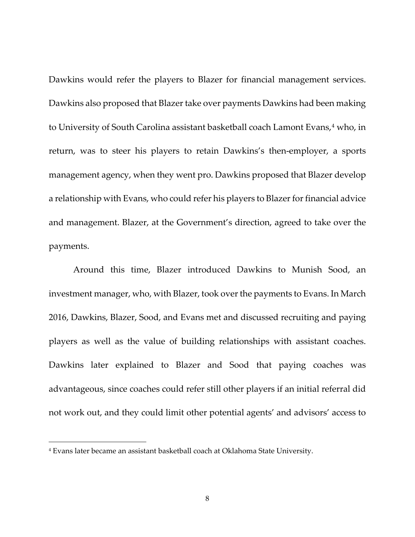Dawkins would refer the players to Blazer for financial management services. Dawkins also proposed that Blazer take over payments Dawkins had been making to University of South Carolina assistant basketball coach Lamont Evans,<sup>[4](#page-7-0)</sup> who, in return, was to steer his players to retain Dawkins's then-employer, a sports management agency, when they went pro. Dawkins proposed that Blazer develop a relationship with Evans, who could refer his players to Blazer for financial advice and management. Blazer, at the Government's direction, agreed to take over the payments.

Around this time, Blazer introduced Dawkins to Munish Sood, an investment manager, who, with Blazer, took over the payments to Evans. In March 2016, Dawkins, Blazer, Sood, and Evans met and discussed recruiting and paying players as well as the value of building relationships with assistant coaches. Dawkins later explained to Blazer and Sood that paying coaches was advantageous, since coaches could refer still other players if an initial referral did not work out, and they could limit other potential agents' and advisors' access to

<span id="page-7-0"></span><sup>4</sup> Evans later became an assistant basketball coach at Oklahoma State University.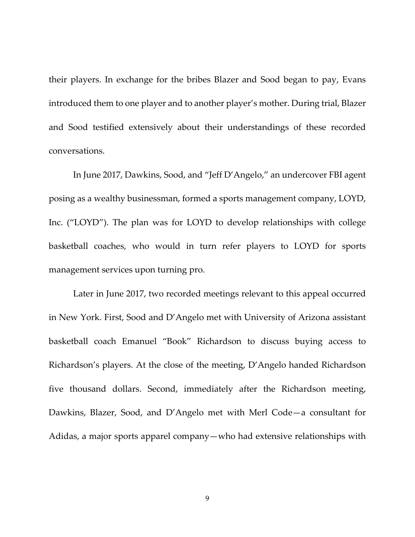their players. In exchange for the bribes Blazer and Sood began to pay, Evans introduced them to one player and to another player's mother. During trial, Blazer and Sood testified extensively about their understandings of these recorded conversations.

In June 2017, Dawkins, Sood, and "Jeff D'Angelo," an undercover FBI agent posing as a wealthy businessman, formed a sports management company, LOYD, Inc. ("LOYD"). The plan was for LOYD to develop relationships with college basketball coaches, who would in turn refer players to LOYD for sports management services upon turning pro.

Later in June 2017, two recorded meetings relevant to this appeal occurred in New York. First, Sood and D'Angelo met with University of Arizona assistant basketball coach Emanuel "Book" Richardson to discuss buying access to Richardson's players. At the close of the meeting, D'Angelo handed Richardson five thousand dollars. Second, immediately after the Richardson meeting, Dawkins, Blazer, Sood, and D'Angelo met with Merl Code—a consultant for Adidas, a major sports apparel company—who had extensive relationships with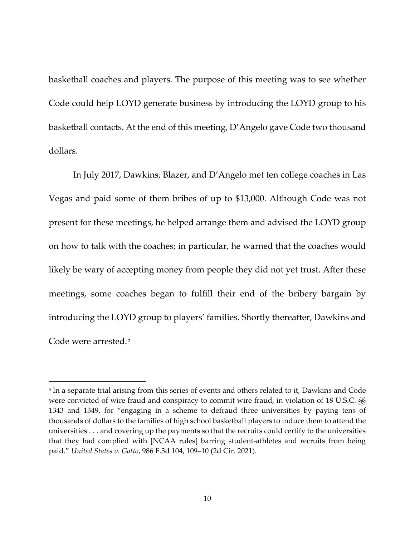basketball coaches and players. The purpose of this meeting was to see whether Code could help LOYD generate business by introducing the LOYD group to his basketball contacts. At the end of this meeting, D'Angelo gave Code two thousand dollars.

In July 2017, Dawkins, Blazer, and D'Angelo met ten college coaches in Las Vegas and paid some of them bribes of up to \$13,000. Although Code was not present for these meetings, he helped arrange them and advised the LOYD group on how to talk with the coaches; in particular, he warned that the coaches would likely be wary of accepting money from people they did not yet trust. After these meetings, some coaches began to fulfill their end of the bribery bargain by introducing the LOYD group to players' families. Shortly thereafter, Dawkins and Code were arrested.[5](#page-9-0)

<span id="page-9-0"></span><sup>5</sup> In a separate trial arising from this series of events and others related to it, Dawkins and Code were convicted of wire fraud and conspiracy to commit wire fraud, in violation of 18 U.S.C. §§ 1343 and 1349, for "engaging in a scheme to defraud three universities by paying tens of thousands of dollars to the families of high school basketball players to induce them to attend the universities . . . and covering up the payments so that the recruits could certify to the universities that they had complied with [NCAA rules] barring student-athletes and recruits from being paid." *United States v. Gatto*, 986 F.3d 104, 109–10 (2d Cir. 2021).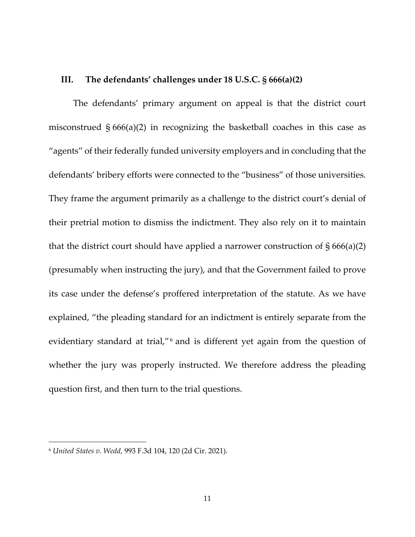#### **III. The defendants' challenges under 18 U.S.C. § 666(a)(2)**

The defendants' primary argument on appeal is that the district court misconstrued § 666(a)(2) in recognizing the basketball coaches in this case as "agents" of their federally funded university employers and in concluding that the defendants' bribery efforts were connected to the "business" of those universities. They frame the argument primarily as a challenge to the district court's denial of their pretrial motion to dismiss the indictment. They also rely on it to maintain that the district court should have applied a narrower construction of  $\S 666(a)(2)$ (presumably when instructing the jury), and that the Government failed to prove its case under the defense's proffered interpretation of the statute. As we have explained, "the pleading standard for an indictment is entirely separate from the evidentiary standard at trial,"[6](#page-10-0) and is different yet again from the question of whether the jury was properly instructed. We therefore address the pleading question first, and then turn to the trial questions.

<span id="page-10-0"></span><sup>6</sup> *United States v. Wedd*, 993 F.3d 104, 120 (2d Cir. 2021).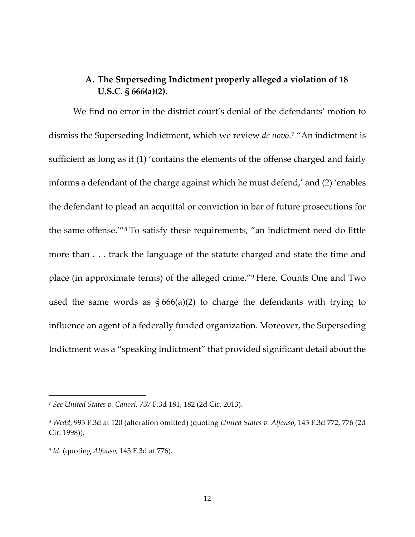## **A. The Superseding Indictment properly alleged a violation of 18 U.S.C. § 666(a)(2).**

We find no error in the district court's denial of the defendants' motion to dismiss the Superseding Indictment, which we review *de novo*.[7](#page-11-0) "An indictment is sufficient as long as it (1) 'contains the elements of the offense charged and fairly informs a defendant of the charge against which he must defend,' and (2) 'enables the defendant to plead an acquittal or conviction in bar of future prosecutions for the same offense.'"[8](#page-11-1) To satisfy these requirements, "an indictment need do little more than . . . track the language of the statute charged and state the time and place (in approximate terms) of the alleged crime."[9](#page-11-2) Here, Counts One and Two used the same words as  $\S 666(a)(2)$  to charge the defendants with trying to influence an agent of a federally funded organization. Moreover, the Superseding Indictment was a "speaking indictment" that provided significant detail about the

<span id="page-11-0"></span><sup>7</sup> *See United States v. Canori*, 737 F.3d 181, 182 (2d Cir. 2013).

<span id="page-11-1"></span><sup>8</sup> *Wedd*, 993 F.3d at 120 (alteration omitted) (quoting *United States v. Alfonso*, 143 F.3d 772, 776 (2d Cir. 1998)).

<span id="page-11-2"></span><sup>9</sup> *Id*. (quoting *Alfonso*, 143 F.3d at 776).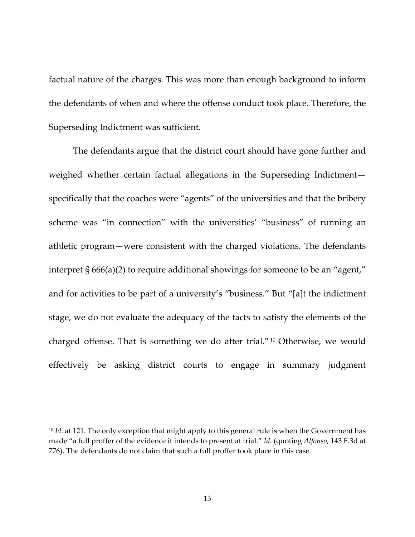factual nature of the charges. This was more than enough background to inform the defendants of when and where the offense conduct took place. Therefore, the Superseding Indictment was sufficient.

The defendants argue that the district court should have gone further and weighed whether certain factual allegations in the Superseding Indictment specifically that the coaches were "agents" of the universities and that the bribery scheme was "in connection" with the universities' "business" of running an athletic program—were consistent with the charged violations. The defendants interpret § 666(a)(2) to require additional showings for someone to be an "agent," and for activities to be part of a university's "business." But "[a]t the indictment stage, we do not evaluate the adequacy of the facts to satisfy the elements of the charged offense. That is something we do after trial."[10](#page-12-0) Otherwise, we would effectively be asking district courts to engage in summary judgment

<span id="page-12-0"></span><sup>&</sup>lt;sup>10</sup> *Id.* at 121. The only exception that might apply to this general rule is when the Government has made "a full proffer of the evidence it intends to present at trial." *Id*. (quoting *Alfonso*, 143 F.3d at 776). The defendants do not claim that such a full proffer took place in this case.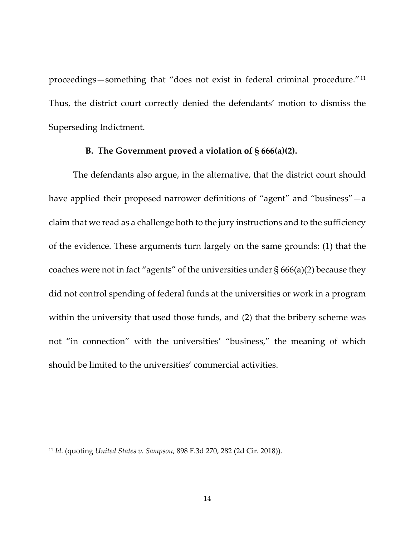proceedings—something that "does not exist in federal criminal procedure."[11](#page-13-0) Thus, the district court correctly denied the defendants' motion to dismiss the Superseding Indictment.

#### **B. The Government proved a violation of § 666(a)(2).**

The defendants also argue, in the alternative, that the district court should have applied their proposed narrower definitions of "agent" and "business"—a claim that we read as a challenge both to the jury instructions and to the sufficiency of the evidence. These arguments turn largely on the same grounds: (1) that the coaches were not in fact "agents" of the universities under § 666(a)(2) because they did not control spending of federal funds at the universities or work in a program within the university that used those funds, and (2) that the bribery scheme was not "in connection" with the universities' "business," the meaning of which should be limited to the universities' commercial activities.

<span id="page-13-0"></span><sup>11</sup> *Id*. (quoting *United States v. Sampson*, 898 F.3d 270, 282 (2d Cir. 2018)).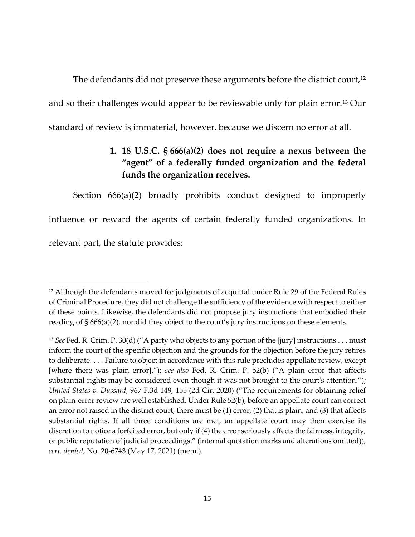The defendants did not preserve these arguments before the district court,<sup>[12](#page-14-0)</sup> and so their challenges would appear to be reviewable only for plain error.[13](#page-14-1) Our standard of review is immaterial, however, because we discern no error at all.

# **1. 18 U.S.C. § 666(a)(2) does not require a nexus between the "agent" of a federally funded organization and the federal funds the organization receives.**

Section 666(a)(2) broadly prohibits conduct designed to improperly influence or reward the agents of certain federally funded organizations. In relevant part, the statute provides:

<span id="page-14-0"></span> $12$  Although the defendants moved for judgments of acquittal under Rule 29 of the Federal Rules of Criminal Procedure, they did not challenge the sufficiency of the evidence with respect to either of these points. Likewise, the defendants did not propose jury instructions that embodied their reading of § 666(a)(2), nor did they object to the court's jury instructions on these elements.

<span id="page-14-1"></span><sup>13</sup> *See* Fed. R. Crim. P. 30(d) ("A party who objects to any portion of the [jury] instructions . . . must inform the court of the specific objection and the grounds for the objection before the jury retires to deliberate. . . . Failure to object in accordance with this rule precludes appellate review, except [where there was plain error]."); *see also* Fed. R. Crim. P. 52(b) ("A plain error that affects substantial rights may be considered even though it was not brought to the court's attention."); *United States v. Dussard*, 967 F.3d 149, 155 (2d Cir. 2020) ("The requirements for obtaining relief on plain-error review are well established. Under Rule 52(b), before an appellate court can correct an error not raised in the district court, there must be (1) error, (2) that is plain, and (3) that affects substantial rights. If all three conditions are met, an appellate court may then exercise its discretion to notice a forfeited error, but only if (4) the error seriously affects the fairness, integrity, or public reputation of judicial proceedings." (internal quotation marks and alterations omitted)), *cert. denied*, No. 20-6743 (May 17, 2021) (mem.).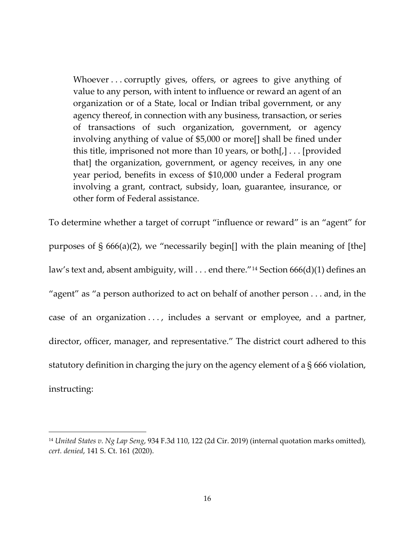Whoever . . . corruptly gives, offers, or agrees to give anything of value to any person, with intent to influence or reward an agent of an organization or of a State, local or Indian tribal government, or any agency thereof, in connection with any business, transaction, or series of transactions of such organization, government, or agency involving anything of value of \$5,000 or more[] shall be fined under this title, imprisoned not more than 10 years, or both[,] . . . [provided that] the organization, government, or agency receives, in any one year period, benefits in excess of \$10,000 under a Federal program involving a grant, contract, subsidy, loan, guarantee, insurance, or other form of Federal assistance.

To determine whether a target of corrupt "influence or reward" is an "agent" for purposes of § 666(a)(2), we "necessarily begin[] with the plain meaning of [the] law's text and, absent ambiguity, will . . . end there."<sup>[14](#page-15-0)</sup> Section 666(d)(1) defines an "agent" as "a person authorized to act on behalf of another person . . . and, in the case of an organization . . . , includes a servant or employee, and a partner, director, officer, manager, and representative." The district court adhered to this statutory definition in charging the jury on the agency element of a § 666 violation, instructing:

<span id="page-15-0"></span><sup>14</sup> *United States v. Ng Lap Seng*, 934 F.3d 110, 122 (2d Cir. 2019) (internal quotation marks omitted), *cert. denied*, 141 S. Ct. 161 (2020).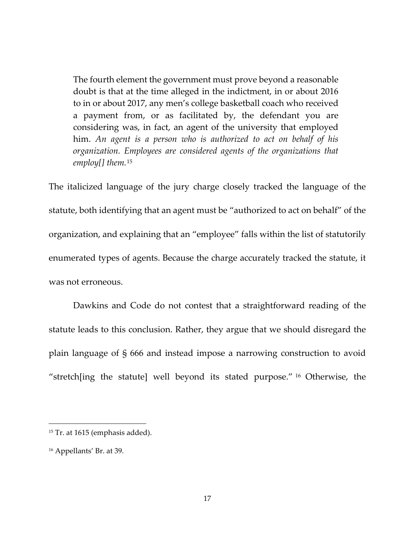The fourth element the government must prove beyond a reasonable doubt is that at the time alleged in the indictment, in or about 2016 to in or about 2017, any men's college basketball coach who received a payment from, or as facilitated by, the defendant you are considering was, in fact, an agent of the university that employed him. *An agent is a person who is authorized to act on behalf of his organization. Employees are considered agents of the organizations that employ[] them.*[15](#page-16-0)

The italicized language of the jury charge closely tracked the language of the statute, both identifying that an agent must be "authorized to act on behalf" of the organization, and explaining that an "employee" falls within the list of statutorily enumerated types of agents. Because the charge accurately tracked the statute, it was not erroneous.

Dawkins and Code do not contest that a straightforward reading of the statute leads to this conclusion. Rather, they argue that we should disregard the plain language of § 666 and instead impose a narrowing construction to avoid "stretch[ing the statute] well beyond its stated purpose." [16](#page-16-1) Otherwise, the

<span id="page-16-0"></span><sup>&</sup>lt;sup>15</sup> Tr. at 1615 (emphasis added).

<span id="page-16-1"></span><sup>16</sup> Appellants' Br. at 39.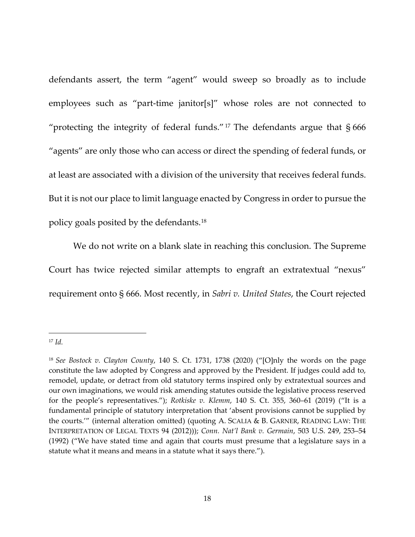defendants assert, the term "agent" would sweep so broadly as to include employees such as "part-time janitor[s]" whose roles are not connected to "protecting the integrity of federal funds."<sup>[17](#page-17-0)</sup> The defendants argue that  $§$  666 "agents" are only those who can access or direct the spending of federal funds, or at least are associated with a division of the university that receives federal funds. But it is not our place to limit language enacted by Congress in order to pursue the policy goals posited by the defendants.[18](#page-17-1)

We do not write on a blank slate in reaching this conclusion. The Supreme Court has twice rejected similar attempts to engraft an extratextual "nexus" requirement onto § 666. Most recently, in *Sabri v. United States*, the Court rejected

<span id="page-17-0"></span><sup>17</sup> *Id.*

<span id="page-17-1"></span><sup>18</sup> *See Bostock v. Clayton County*, 140 S. Ct. 1731, 1738 (2020) ("[O]nly the words on the page constitute the law adopted by Congress and approved by the President. If judges could add to, remodel, update, or detract from old statutory terms inspired only by extratextual sources and our own imaginations, we would risk amending statutes outside the legislative process reserved for the people's representatives."); *Rotkiske v. Klemm*, 140 S. Ct. 355, 360–61 (2019) ("It is a fundamental principle of statutory interpretation that 'absent provisions cannot be supplied by the courts.'" (internal alteration omitted) (quoting A. SCALIA & B. GARNER, READING LAW: THE INTERPRETATION OF LEGAL TEXTS 94 (2012))); *Conn. Nat'l Bank v. Germain*, 503 U.S. 249, 253–54 (1992) ("We have stated time and again that courts must presume that a legislature says in a statute what it means and means in a statute what it says there.").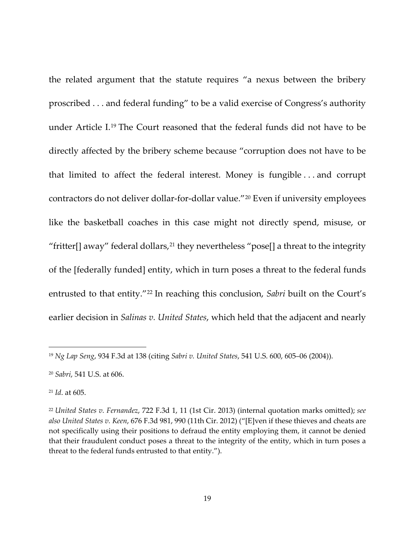the related argument that the statute requires "a nexus between the bribery proscribed . . . and federal funding" to be a valid exercise of Congress's authority under Article I.[19](#page-18-0) The Court reasoned that the federal funds did not have to be directly affected by the bribery scheme because "corruption does not have to be that limited to affect the federal interest. Money is fungible . . . and corrupt contractors do not deliver dollar-for-dollar value."[20](#page-18-1) Even if university employees like the basketball coaches in this case might not directly spend, misuse, or "fritter[] away" federal dollars,<sup>[21](#page-18-2)</sup> they nevertheless "pose[] a threat to the integrity of the [federally funded] entity, which in turn poses a threat to the federal funds entrusted to that entity."<sup>[22](#page-18-3)</sup> In reaching this conclusion, *Sabri* built on the Court's earlier decision in *Salinas v. United States*, which held that the adjacent and nearly

<span id="page-18-0"></span><sup>19</sup> *Ng Lap Seng*, 934 F.3d at 138 (citing *Sabri v. United States*, 541 U.S. 600, 605–06 (2004)).

<span id="page-18-1"></span><sup>20</sup> *Sabri*, 541 U.S. at 606.

<span id="page-18-2"></span><sup>21</sup> *Id*. at 605.

<span id="page-18-3"></span><sup>22</sup> *United States v. Fernandez*, 722 F.3d 1, 11 (1st Cir. 2013) (internal quotation marks omitted); *see also United States v. Keen*, 676 F.3d 981, 990 (11th Cir. 2012) ("[E]ven if these thieves and cheats are not specifically using their positions to defraud the entity employing them, it cannot be denied that their fraudulent conduct poses a threat to the integrity of the entity, which in turn poses a threat to the federal funds entrusted to that entity.").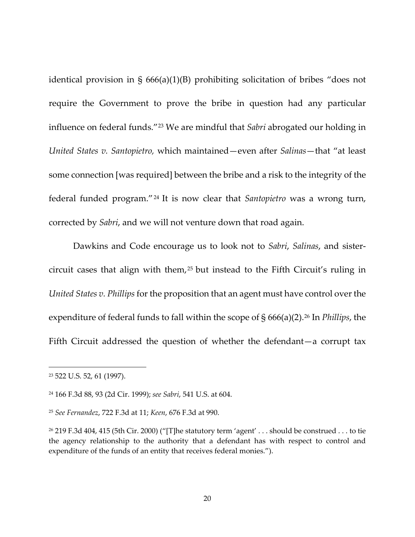identical provision in § 666(a)(1)(B) prohibiting solicitation of bribes "does not require the Government to prove the bribe in question had any particular influence on federal funds."[23](#page-19-0) We are mindful that *Sabri* abrogated our holding in *United States v. Santopietro,* which maintained—even after *Salinas*—that "at least some connection [was required] between the bribe and a risk to the integrity of the federal funded program."[24](#page-19-1) It is now clear that *Santopietro* was a wrong turn, corrected by *Sabri*, and we will not venture down that road again.

Dawkins and Code encourage us to look not to *Sabri*, *Salinas*, and sistercircuit cases that align with them, [25](#page-19-2) but instead to the Fifth Circuit's ruling in *United States v. Phillips* for the proposition that an agent must have control over the expenditure of federal funds to fall within the scope of § 666(a)(2).[26](#page-19-3) In *Phillips*, the Fifth Circuit addressed the question of whether the defendant—a corrupt tax

<span id="page-19-0"></span><sup>23</sup> 522 U.S. 52, 61 (1997).

<span id="page-19-1"></span><sup>24</sup> 166 F.3d 88, 93 (2d Cir. 1999); *see Sabri*, 541 U.S. at 604.

<span id="page-19-2"></span><sup>25</sup> *See Fernandez*, 722 F.3d at 11; *Keen*, 676 F.3d at 990.

<span id="page-19-3"></span><sup>&</sup>lt;sup>26</sup> 219 F.3d 404, 415 (5th Cir. 2000) ("[T]he statutory term 'agent' . . . should be construed . . . to tie the agency relationship to the authority that a defendant has with respect to control and expenditure of the funds of an entity that receives federal monies.").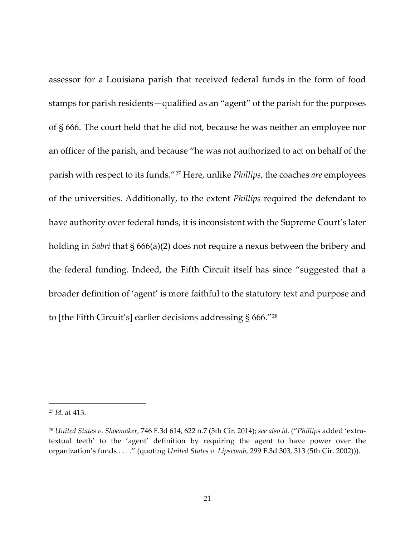assessor for a Louisiana parish that received federal funds in the form of food stamps for parish residents—qualified as an "agent" of the parish for the purposes of § 666. The court held that he did not, because he was neither an employee nor an officer of the parish, and because "he was not authorized to act on behalf of the parish with respect to its funds."[27](#page-20-0) Here, unlike *Phillips*, the coaches *are* employees of the universities. Additionally, to the extent *Phillips* required the defendant to have authority over federal funds, it is inconsistent with the Supreme Court's later holding in *Sabri* that § 666(a)(2) does not require a nexus between the bribery and the federal funding. Indeed, the Fifth Circuit itself has since "suggested that a broader definition of 'agent' is more faithful to the statutory text and purpose and to [the Fifth Circuit's] earlier decisions addressing § 666."[28](#page-20-1)

<span id="page-20-0"></span><sup>27</sup> *Id*. at 413.

<span id="page-20-1"></span><sup>28</sup> *United States v. Shoemaker*, 746 F.3d 614, 622 n.7 (5th Cir. 2014); *see also id.* ("*Phillips* added 'extratextual teeth' to the 'agent' definition by requiring the agent to have power over the organization's funds . . . ." (quoting *United States v. Lipscomb*, 299 F.3d 303, 313 (5th Cir. 2002))).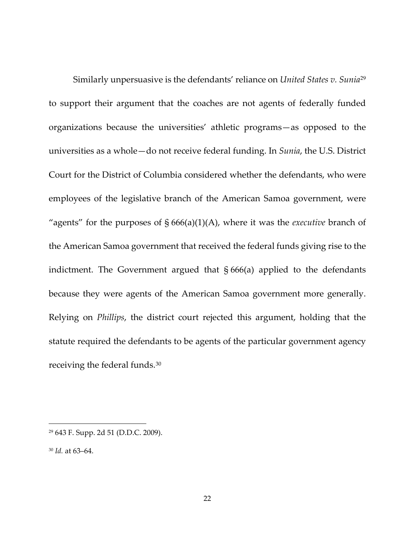Similarly unpersuasive is the defendants' reliance on *United States v. Sunia*[29](#page-21-0) to support their argument that the coaches are not agents of federally funded organizations because the universities' athletic programs—as opposed to the universities as a whole—do not receive federal funding. In *Sunia*, the U.S. District Court for the District of Columbia considered whether the defendants, who were employees of the legislative branch of the American Samoa government, were "agents" for the purposes of § 666(a)(1)(A), where it was the *executive* branch of the American Samoa government that received the federal funds giving rise to the indictment. The Government argued that § 666(a) applied to the defendants because they were agents of the American Samoa government more generally. Relying on *Phillips*, the district court rejected this argument, holding that the statute required the defendants to be agents of the particular government agency receiving the federal funds.[30](#page-21-1)

<span id="page-21-0"></span><sup>29</sup> 643 F. Supp. 2d 51 (D.D.C. 2009).

<span id="page-21-1"></span><sup>30</sup> *Id.* at 63–64.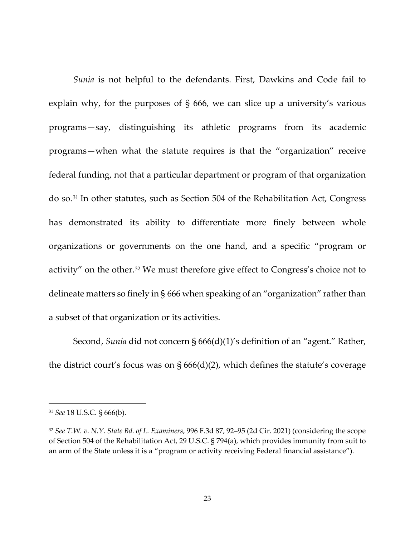*Sunia* is not helpful to the defendants. First, Dawkins and Code fail to explain why, for the purposes of § 666, we can slice up a university's various programs—say, distinguishing its athletic programs from its academic programs—when what the statute requires is that the "organization" receive federal funding, not that a particular department or program of that organization do so.[31](#page-22-0) In other statutes, such as Section 504 of the Rehabilitation Act, Congress has demonstrated its ability to differentiate more finely between whole organizations or governments on the one hand, and a specific "program or activity" on the other.[32](#page-22-1) We must therefore give effect to Congress's choice not to delineate matters so finely in § 666 when speaking of an "organization" rather than a subset of that organization or its activities.

Second, *Sunia* did not concern § 666(d)(1)'s definition of an "agent." Rather, the district court's focus was on § 666(d)(2), which defines the statute's coverage

<span id="page-22-0"></span><sup>31</sup> *See* 18 U.S.C. § 666(b).

<span id="page-22-1"></span><sup>32</sup> *See T.W. v. N.Y. State Bd. of L. Examiners*, 996 F.3d 87, 92–95 (2d Cir. 2021) (considering the scope of Section 504 of the Rehabilitation Act, 29 U.S.C. § 794(a), which provides immunity from suit to an arm of the State unless it is a "program or activity receiving Federal financial assistance").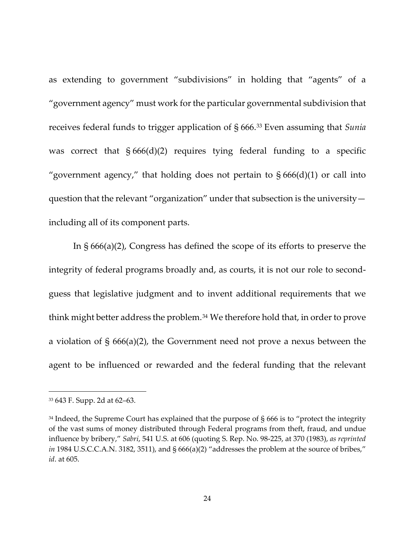as extending to government "subdivisions" in holding that "agents" of a "government agency" must work for the particular governmental subdivision that receives federal funds to trigger application of § 666.[33](#page-23-0) Even assuming that *Sunia* was correct that  $§ 666(d)(2)$  requires tying federal funding to a specific "government agency," that holding does not pertain to  $\S 666(d)(1)$  or call into question that the relevant "organization" under that subsection is the university including all of its component parts.

In § 666(a)(2), Congress has defined the scope of its efforts to preserve the integrity of federal programs broadly and, as courts, it is not our role to secondguess that legislative judgment and to invent additional requirements that we think might better address the problem.[34](#page-23-1) We therefore hold that, in order to prove a violation of § 666(a)(2), the Government need not prove a nexus between the agent to be influenced or rewarded and the federal funding that the relevant

<span id="page-23-0"></span><sup>33</sup> 643 F. Supp. 2d at 62–63.

<span id="page-23-1"></span> $34$  Indeed, the Supreme Court has explained that the purpose of § 666 is to "protect the integrity of the vast sums of money distributed through Federal programs from theft, fraud, and undue influence by bribery," *Sabri*, 541 U.S. at 606 (quoting S. Rep. No. 98-225, at 370 (1983), *as reprinted in* 1984 U.S.C.C.A.N. 3182, 3511), and § 666(a)(2) "addresses the problem at the source of bribes," *id*. at 605.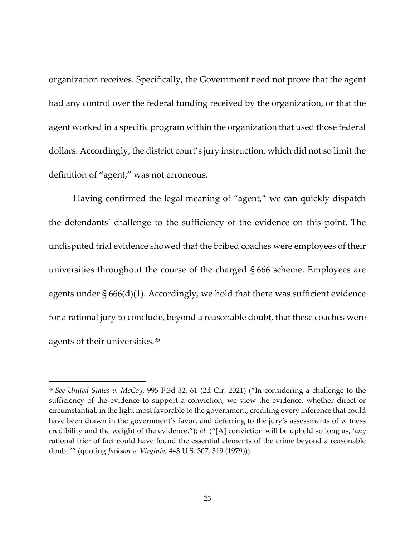organization receives. Specifically, the Government need not prove that the agent had any control over the federal funding received by the organization, or that the agent worked in a specific program within the organization that used those federal dollars. Accordingly, the district court's jury instruction, which did not so limit the definition of "agent," was not erroneous.

Having confirmed the legal meaning of "agent," we can quickly dispatch the defendants' challenge to the sufficiency of the evidence on this point. The undisputed trial evidence showed that the bribed coaches were employees of their universities throughout the course of the charged § 666 scheme. Employees are agents under § 666(d)(1). Accordingly, we hold that there was sufficient evidence for a rational jury to conclude, beyond a reasonable doubt, that these coaches were agents of their universities.[35](#page-24-0)

<span id="page-24-0"></span><sup>35</sup> *See United States v. McCoy*, 995 F.3d 32, 61 (2d Cir. 2021) ("In considering a challenge to the sufficiency of the evidence to support a conviction, we view the evidence, whether direct or circumstantial, in the light most favorable to the government, crediting every inference that could have been drawn in the government's favor, and deferring to the jury's assessments of witness credibility and the weight of the evidence."); *id.* ("[A] conviction will be upheld so long as, '*any* rational trier of fact could have found the essential elements of the crime beyond a reasonable doubt.'" (quoting *Jackson v. Virginia*, 443 U.S. 307, 319 (1979))).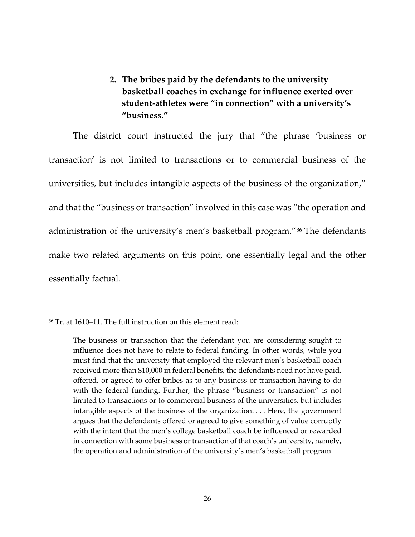**2. The bribes paid by the defendants to the university basketball coaches in exchange for influence exerted over student-athletes were "in connection" with a university's "business."**

The district court instructed the jury that "the phrase 'business or transaction' is not limited to transactions or to commercial business of the universities, but includes intangible aspects of the business of the organization," and that the "business or transaction" involved in this case was "the operation and administration of the university's men's basketball program."[36](#page-25-0) The defendants make two related arguments on this point, one essentially legal and the other essentially factual.

<span id="page-25-0"></span><sup>36</sup> Tr. at 1610–11. The full instruction on this element read:

The business or transaction that the defendant you are considering sought to influence does not have to relate to federal funding. In other words, while you must find that the university that employed the relevant men's basketball coach received more than \$10,000 in federal benefits, the defendants need not have paid, offered, or agreed to offer bribes as to any business or transaction having to do with the federal funding. Further, the phrase "business or transaction" is not limited to transactions or to commercial business of the universities, but includes intangible aspects of the business of the organization. . . . Here, the government argues that the defendants offered or agreed to give something of value corruptly with the intent that the men's college basketball coach be influenced or rewarded in connection with some business or transaction of that coach's university, namely, the operation and administration of the university's men's basketball program.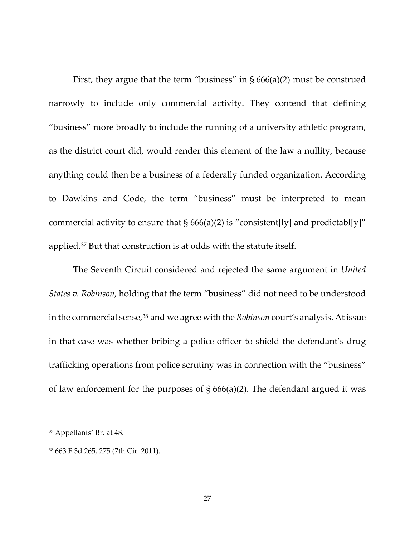First, they argue that the term "business" in  $\S 666(a)(2)$  must be construed narrowly to include only commercial activity. They contend that defining "business" more broadly to include the running of a university athletic program, as the district court did, would render this element of the law a nullity, because anything could then be a business of a federally funded organization. According to Dawkins and Code, the term "business" must be interpreted to mean commercial activity to ensure that  $\S 666(a)(2)$  is "consistent[ly] and predictabl[y]" applied.[37](#page-26-0) But that construction is at odds with the statute itself.

The Seventh Circuit considered and rejected the same argument in *United States v. Robinson*, holding that the term "business" did not need to be understood in the commercial sense[,38](#page-26-1) and we agree with the *Robinson* court's analysis. At issue in that case was whether bribing a police officer to shield the defendant's drug trafficking operations from police scrutiny was in connection with the "business" of law enforcement for the purposes of  $\S 666(a)(2)$ . The defendant argued it was

<span id="page-26-0"></span><sup>37</sup> Appellants' Br. at 48.

<span id="page-26-1"></span><sup>38</sup> 663 F.3d 265, 275 (7th Cir. 2011).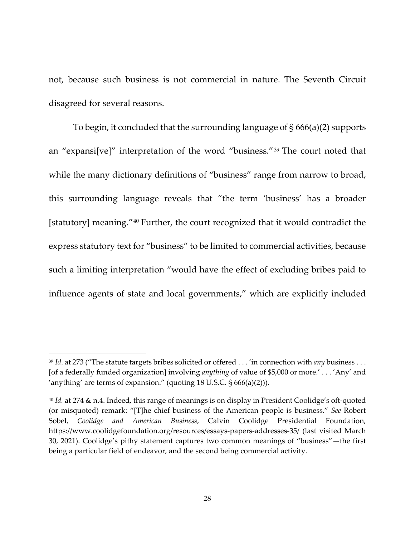not, because such business is not commercial in nature. The Seventh Circuit disagreed for several reasons.

To begin, it concluded that the surrounding language of § 666(a)(2) supports an "expansi[ve]" interpretation of the word "business."[39](#page-27-0) The court noted that while the many dictionary definitions of "business" range from narrow to broad, this surrounding language reveals that "the term 'business' has a broader [statutory] meaning."<sup>[40](#page-27-1)</sup> Further, the court recognized that it would contradict the express statutory text for "business" to be limited to commercial activities, because such a limiting interpretation "would have the effect of excluding bribes paid to influence agents of state and local governments," which are explicitly included

<span id="page-27-0"></span><sup>39</sup> *Id*. at 273 ("The statute targets bribes solicited or offered . . . 'in connection with *any* business . . . [of a federally funded organization] involving *anything* of value of \$5,000 or more.' . . . 'Any' and 'anything' are terms of expansion." (quoting 18 U.S.C. § 666(a)(2))).

<span id="page-27-1"></span><sup>40</sup> *Id.* at 274 & n.4. Indeed, this range of meanings is on display in President Coolidge's oft-quoted (or misquoted) remark: "[T]he chief business of the American people is business." *See* Robert Sobel, *Coolidge and American Business*, Calvin Coolidge Presidential Foundation, https://www.coolidgefoundation.org/resources/essays-papers-addresses-35/ (last visited March 30, 2021). Coolidge's pithy statement captures two common meanings of "business"—the first being a particular field of endeavor, and the second being commercial activity.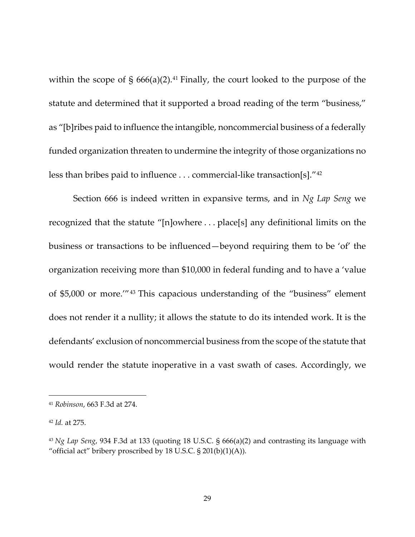within the scope of  $\S$  666(a)(2).<sup>[41](#page-28-0)</sup> Finally, the court looked to the purpose of the statute and determined that it supported a broad reading of the term "business," as "[b]ribes paid to influence the intangible, noncommercial business of a federally funded organization threaten to undermine the integrity of those organizations no less than bribes paid to influence ... commercial-like transaction[s]."<sup>[42](#page-28-1)</sup>

Section 666 is indeed written in expansive terms, and in *Ng Lap Seng* we recognized that the statute "[n]owhere . . . place[s] any definitional limits on the business or transactions to be influenced—beyond requiring them to be 'of' the organization receiving more than \$10,000 in federal funding and to have a 'value of \$5,000 or more.'"[43](#page-28-2) This capacious understanding of the "business" element does not render it a nullity; it allows the statute to do its intended work. It is the defendants' exclusion of noncommercial business from the scope of the statute that would render the statute inoperative in a vast swath of cases. Accordingly, we

<span id="page-28-0"></span><sup>41</sup> *Robinson*, 663 F.3d at 274.

<span id="page-28-1"></span><sup>42</sup> *Id.* at 275.

<span id="page-28-2"></span><sup>43</sup> *Ng Lap Seng*, 934 F.3d at 133 (quoting 18 U.S.C. § 666(a)(2) and contrasting its language with "official act" bribery proscribed by 18 U.S.C.  $\S 201(b)(1)(A)$ ).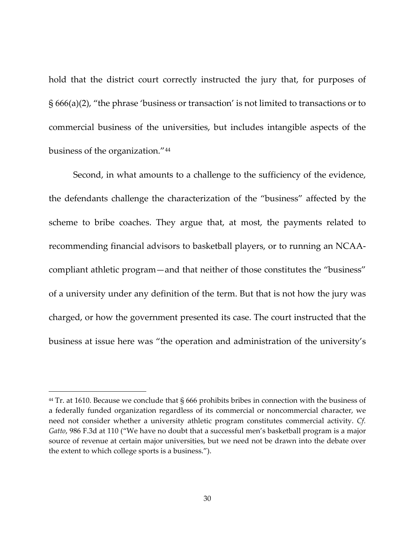hold that the district court correctly instructed the jury that, for purposes of § 666(a)(2), "the phrase 'business or transaction' is not limited to transactions or to commercial business of the universities, but includes intangible aspects of the business of the organization."[44](#page-29-0)

Second, in what amounts to a challenge to the sufficiency of the evidence, the defendants challenge the characterization of the "business" affected by the scheme to bribe coaches. They argue that, at most, the payments related to recommending financial advisors to basketball players, or to running an NCAAcompliant athletic program—and that neither of those constitutes the "business" of a university under any definition of the term. But that is not how the jury was charged, or how the government presented its case. The court instructed that the business at issue here was "the operation and administration of the university's

<span id="page-29-0"></span><sup>&</sup>lt;sup>44</sup> Tr. at 1610. Because we conclude that § 666 prohibits bribes in connection with the business of a federally funded organization regardless of its commercial or noncommercial character, we need not consider whether a university athletic program constitutes commercial activity. *Cf. Gatto*, 986 F.3d at 110 ("We have no doubt that a successful men's basketball program is a major source of revenue at certain major universities, but we need not be drawn into the debate over the extent to which college sports is a business.").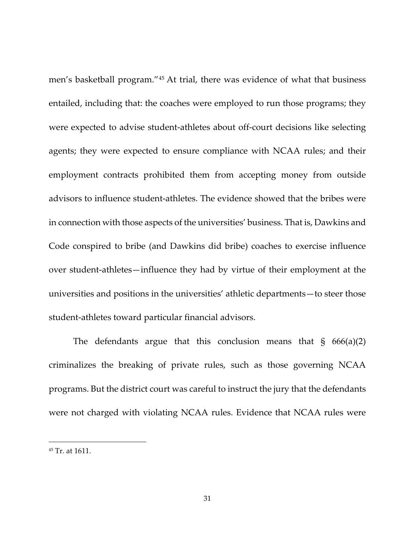men's basketball program."[45](#page-30-0) At trial, there was evidence of what that business entailed, including that: the coaches were employed to run those programs; they were expected to advise student-athletes about off-court decisions like selecting agents; they were expected to ensure compliance with NCAA rules; and their employment contracts prohibited them from accepting money from outside advisors to influence student-athletes. The evidence showed that the bribes were in connection with those aspects of the universities' business. That is, Dawkins and Code conspired to bribe (and Dawkins did bribe) coaches to exercise influence over student-athletes—influence they had by virtue of their employment at the universities and positions in the universities' athletic departments—to steer those student-athletes toward particular financial advisors.

The defendants argue that this conclusion means that  $\S$  666(a)(2) criminalizes the breaking of private rules, such as those governing NCAA programs. But the district court was careful to instruct the jury that the defendants were not charged with violating NCAA rules. Evidence that NCAA rules were

<span id="page-30-0"></span><sup>45</sup> Tr. at 1611.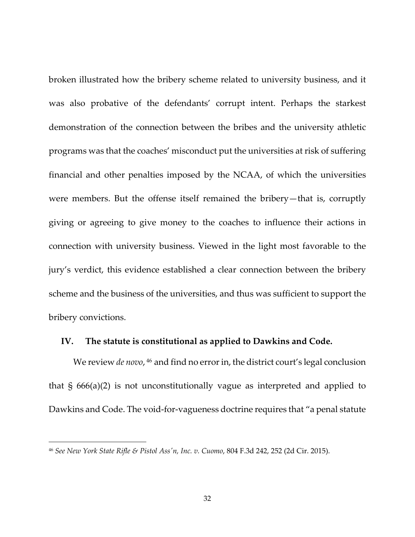broken illustrated how the bribery scheme related to university business, and it was also probative of the defendants' corrupt intent. Perhaps the starkest demonstration of the connection between the bribes and the university athletic programs was that the coaches' misconduct put the universities at risk of suffering financial and other penalties imposed by the NCAA, of which the universities were members. But the offense itself remained the bribery—that is, corruptly giving or agreeing to give money to the coaches to influence their actions in connection with university business. Viewed in the light most favorable to the jury's verdict, this evidence established a clear connection between the bribery scheme and the business of the universities, and thus was sufficient to support the bribery convictions.

#### **IV. The statute is constitutional as applied to Dawkins and Code.**

We review *de novo*, <sup>[46](#page-31-0)</sup> and find no error in, the district court's legal conclusion that § 666(a)(2) is not unconstitutionally vague as interpreted and applied to Dawkins and Code. The void-for-vagueness doctrine requires that "a penal statute

<span id="page-31-0"></span><sup>46</sup> *See New York State Rifle & Pistol Ass'n, Inc. v. Cuomo*, 804 F.3d 242, 252 (2d Cir. 2015).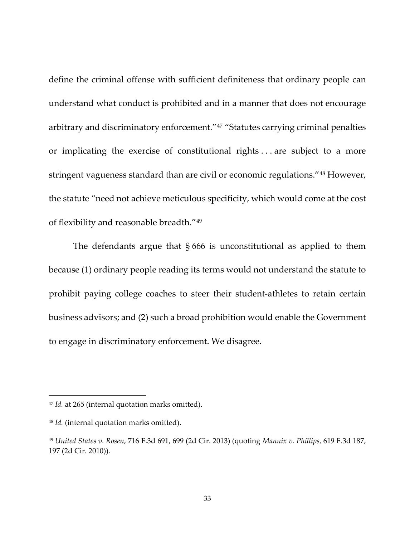define the criminal offense with sufficient definiteness that ordinary people can understand what conduct is prohibited and in a manner that does not encourage arbitrary and discriminatory enforcement."[47](#page-32-0) "Statutes carrying criminal penalties or implicating the exercise of constitutional rights . . . are subject to a more stringent vagueness standard than are civil or economic regulations."[48](#page-32-1) However, the statute "need not achieve meticulous specificity, which would come at the cost of flexibility and reasonable breadth."[49](#page-32-2)

The defendants argue that  $\S 666$  is unconstitutional as applied to them because (1) ordinary people reading its terms would not understand the statute to prohibit paying college coaches to steer their student-athletes to retain certain business advisors; and (2) such a broad prohibition would enable the Government to engage in discriminatory enforcement. We disagree.

<span id="page-32-0"></span><sup>47</sup> *Id.* at 265 (internal quotation marks omitted).

<span id="page-32-1"></span><sup>48</sup> *Id.* (internal quotation marks omitted).

<span id="page-32-2"></span><sup>49</sup> *United States v. Rosen*, 716 F.3d 691, 699 (2d Cir. 2013) (quoting *Mannix v. Phillips,* 619 F.3d 187, 197 (2d Cir. 2010)).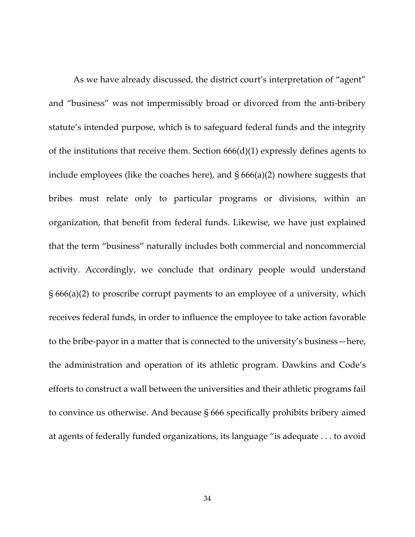As we have already discussed, the district court's interpretation of "agent" and "business" was not impermissibly broad or divorced from the anti-bribery statute's intended purpose, which is to safeguard federal funds and the integrity of the institutions that receive them. Section  $666(d)(1)$  expressly defines agents to include employees (like the coaches here), and § 666(a)(2) nowhere suggests that bribes must relate only to particular programs or divisions, within an organization, that benefit from federal funds. Likewise, we have just explained that the term "business" naturally includes both commercial and noncommercial activity. Accordingly, we conclude that ordinary people would understand § 666(a)(2) to proscribe corrupt payments to an employee of a university, which receives federal funds, in order to influence the employee to take action favorable to the bribe-payor in a matter that is connected to the university's business—here, the administration and operation of its athletic program. Dawkins and Code's efforts to construct a wall between the universities and their athletic programs fail to convince us otherwise. And because § 666 specifically prohibits bribery aimed at agents of federally funded organizations, its language "is adequate . . . to avoid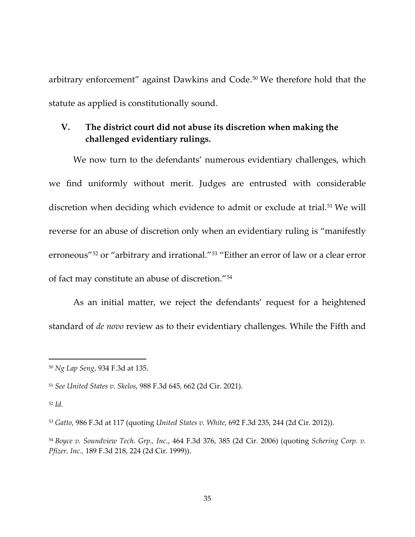arbitrary enforcement" against Dawkins and Code.[50](#page-34-0) We therefore hold that the statute as applied is constitutionally sound.

## **V. The district court did not abuse its discretion when making the challenged evidentiary rulings.**

We now turn to the defendants' numerous evidentiary challenges, which we find uniformly without merit. Judges are entrusted with considerable discretion when deciding which evidence to admit or exclude at trial.<sup>[51](#page-34-1)</sup> We will reverse for an abuse of discretion only when an evidentiary ruling is "manifestly erroneous"[52](#page-34-2) or "arbitrary and irrational."[53](#page-34-3) "Either an error of law or a clear error of fact may constitute an abuse of discretion."[54](#page-34-4)

As an initial matter, we reject the defendants' request for a heightened standard of *de novo* review as to their evidentiary challenges. While the Fifth and

<span id="page-34-0"></span><sup>50</sup> *Ng Lap Seng*, 934 F.3d at 135.

<span id="page-34-1"></span><sup>51</sup> *See United States v. Skelos*, 988 F.3d 645, 662 (2d Cir. 2021).

<span id="page-34-2"></span><sup>52</sup> *Id.*

<span id="page-34-3"></span><sup>53</sup> *Gatto*, 986 F.3d at 117 (quoting *United States v. White*, 692 F.3d 235, 244 (2d Cir. 2012)).

<span id="page-34-4"></span><sup>54</sup> *Boyce v. Soundview Tech. Grp., Inc.*, 464 F.3d 376, 385 (2d Cir. 2006) (quoting *Schering Corp. v. Pfizer, Inc.,* 189 F.3d 218, 224 (2d Cir. 1999)).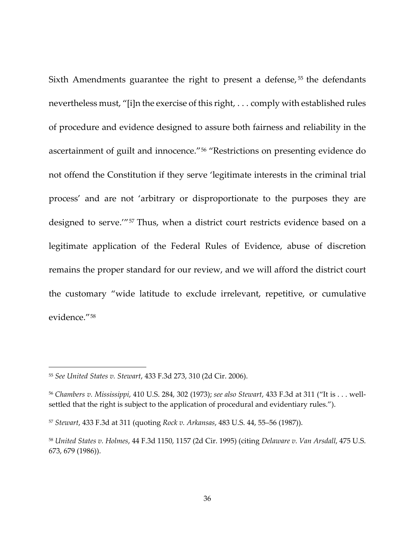Sixth Amendments guarantee the right to present a defense,<sup>[55](#page-35-0)</sup> the defendants nevertheless must, "[i]n the exercise of this right, . . . comply with established rules of procedure and evidence designed to assure both fairness and reliability in the ascertainment of guilt and innocence."[56](#page-35-1) "Restrictions on presenting evidence do not offend the Constitution if they serve 'legitimate interests in the criminal trial process' and are not 'arbitrary or disproportionate to the purposes they are designed to serve.'"[57](#page-35-2) Thus, when a district court restricts evidence based on a legitimate application of the Federal Rules of Evidence, abuse of discretion remains the proper standard for our review, and we will afford the district court the customary "wide latitude to exclude irrelevant, repetitive, or cumulative evidence."[58](#page-35-3)

<span id="page-35-0"></span><sup>55</sup> *See United States v. Stewart*, 433 F.3d 273, 310 (2d Cir. 2006).

<span id="page-35-1"></span><sup>56</sup> *Chambers v. Mississippi*, 410 U.S. 284, 302 (1973); *see also Stewart*, 433 F.3d at 311 ("It is . . . wellsettled that the right is subject to the application of procedural and evidentiary rules.").

<span id="page-35-2"></span><sup>57</sup> *Stewart*, 433 F.3d at 311 (quoting *Rock v. Arkansas*, 483 U.S. 44, 55–56 (1987)).

<span id="page-35-3"></span><sup>58</sup> *United States v. Holmes*, 44 F.3d 1150, 1157 (2d Cir. 1995) (citing *Delaware v. Van Arsdall*, 475 U.S. 673, 679 (1986)).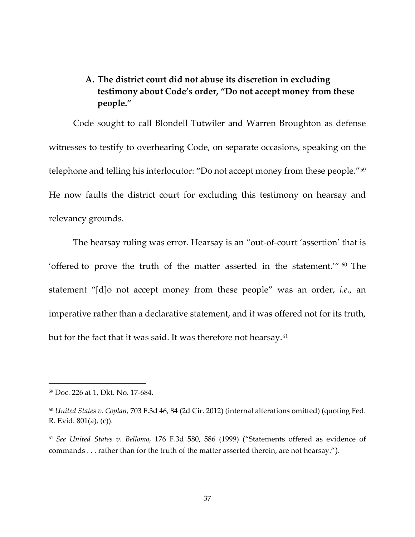# **A. The district court did not abuse its discretion in excluding testimony about Code's order, "Do not accept money from these people."**

Code sought to call Blondell Tutwiler and Warren Broughton as defense witnesses to testify to overhearing Code, on separate occasions, speaking on the telephone and telling his interlocutor: "Do not accept money from these people."[59](#page-36-0) He now faults the district court for excluding this testimony on hearsay and relevancy grounds.

The hearsay ruling was error. Hearsay is an "out-of-court 'assertion' that is 'offered to prove the truth of the matter asserted in the statement.'" $60$  The statement "[d]o not accept money from these people" was an order, *i.e.*, an imperative rather than a declarative statement, and it was offered not for its truth, but for the fact that it was said. It was therefore not hearsay.<sup>[61](#page-36-2)</sup>

<span id="page-36-0"></span><sup>59</sup> Doc. 226 at 1, Dkt. No. 17-684.

<span id="page-36-1"></span><sup>60</sup> *United States v. Coplan*, 703 F.3d 46, 84 (2d Cir. 2012) (internal alterations omitted) (quoting Fed. R. Evid. 801(a), (c)).

<span id="page-36-2"></span><sup>61</sup> *See United States v. Bellomo*, 176 F.3d 580, 586 (1999) ("Statements offered as evidence of commands . . . rather than for the truth of the matter asserted therein, are not hearsay.").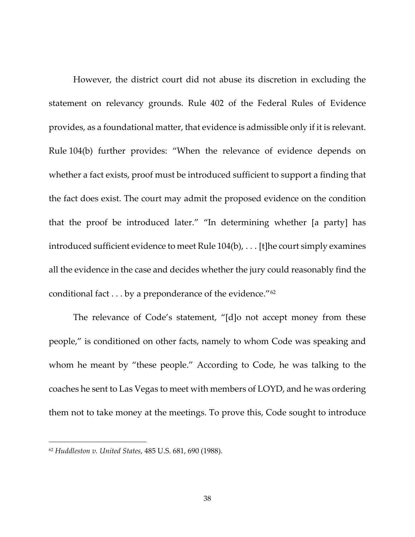However, the district court did not abuse its discretion in excluding the statement on relevancy grounds. Rule 402 of the Federal Rules of Evidence provides, as a foundational matter, that evidence is admissible only if it is relevant. Rule 104(b) further provides: "When the relevance of evidence depends on whether a fact exists, proof must be introduced sufficient to support a finding that the fact does exist. The court may admit the proposed evidence on the condition that the proof be introduced later." "In determining whether [a party] has introduced sufficient evidence to meet Rule 104(b), . . . [t]he court simply examines all the evidence in the case and decides whether the jury could reasonably find the conditional fact . . . by a preponderance of the evidence."<sup>[62](#page-37-0)</sup>

The relevance of Code's statement, "[d]o not accept money from these people," is conditioned on other facts, namely to whom Code was speaking and whom he meant by "these people." According to Code, he was talking to the coaches he sent to Las Vegas to meet with members of LOYD, and he was ordering them not to take money at the meetings. To prove this, Code sought to introduce

<span id="page-37-0"></span><sup>62</sup> *Huddleston v. United States*, 485 U.S. 681, 690 (1988).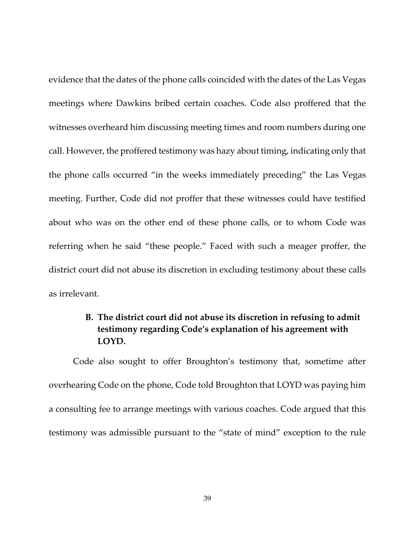evidence that the dates of the phone calls coincided with the dates of the Las Vegas meetings where Dawkins bribed certain coaches. Code also proffered that the witnesses overheard him discussing meeting times and room numbers during one call. However, the proffered testimony was hazy about timing, indicating only that the phone calls occurred "in the weeks immediately preceding" the Las Vegas meeting. Further, Code did not proffer that these witnesses could have testified about who was on the other end of these phone calls, or to whom Code was referring when he said "these people." Faced with such a meager proffer, the district court did not abuse its discretion in excluding testimony about these calls as irrelevant.

## **B. The district court did not abuse its discretion in refusing to admit testimony regarding Code's explanation of his agreement with LOYD.**

Code also sought to offer Broughton's testimony that, sometime after overhearing Code on the phone, Code told Broughton that LOYD was paying him a consulting fee to arrange meetings with various coaches. Code argued that this testimony was admissible pursuant to the "state of mind" exception to the rule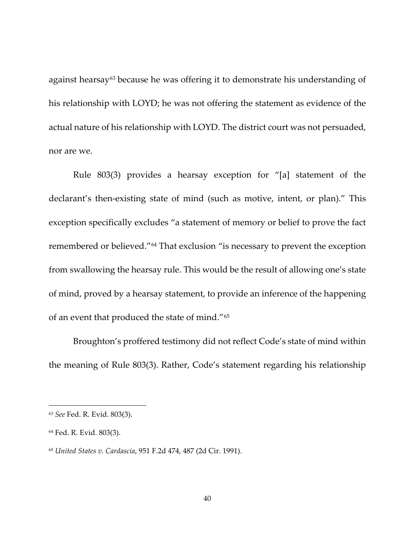against hearsay<sup>[63](#page-39-0)</sup> because he was offering it to demonstrate his understanding of his relationship with LOYD; he was not offering the statement as evidence of the actual nature of his relationship with LOYD. The district court was not persuaded, nor are we.

Rule 803(3) provides a hearsay exception for "[a] statement of the declarant's then-existing state of mind (such as motive, intent, or plan)." This exception specifically excludes "a statement of memory or belief to prove the fact remembered or believed."[64](#page-39-1) That exclusion "is necessary to prevent the exception from swallowing the hearsay rule. This would be the result of allowing one's state of mind, proved by a hearsay statement, to provide an inference of the happening of an event that produced the state of mind."[65](#page-39-2)

Broughton's proffered testimony did not reflect Code's state of mind within the meaning of Rule 803(3). Rather, Code's statement regarding his relationship

<span id="page-39-0"></span><sup>63</sup> *See* Fed. R. Evid. 803(3).

<span id="page-39-1"></span><sup>64</sup> Fed. R. Evid. 803(3).

<span id="page-39-2"></span><sup>65</sup> *United States v. Cardascia*, 951 F.2d 474, 487 (2d Cir. 1991).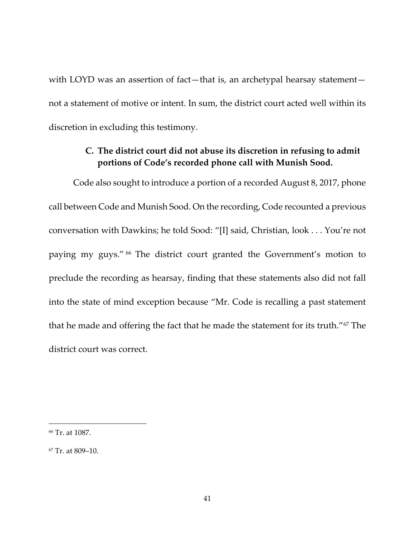with LOYD was an assertion of fact—that is, an archetypal hearsay statement not a statement of motive or intent. In sum, the district court acted well within its discretion in excluding this testimony.

## **C. The district court did not abuse its discretion in refusing to admit portions of Code's recorded phone call with Munish Sood.**

Code also sought to introduce a portion of a recorded August 8, 2017, phone call between Code and Munish Sood. On the recording, Code recounted a previous conversation with Dawkins; he told Sood: "[I] said, Christian, look . . . You're not paying my guys." [66](#page-40-0) The district court granted the Government's motion to preclude the recording as hearsay, finding that these statements also did not fall into the state of mind exception because "Mr. Code is recalling a past statement that he made and offering the fact that he made the statement for its truth."<sup>[67](#page-40-1)</sup> The district court was correct.

<span id="page-40-0"></span><sup>66</sup> Tr. at 1087.

<span id="page-40-1"></span><sup>67</sup> Tr. at 809–10.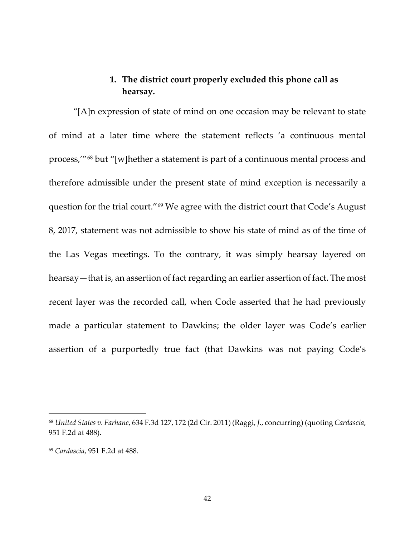### **1. The district court properly excluded this phone call as hearsay.**

"[A]n expression of state of mind on one occasion may be relevant to state of mind at a later time where the statement reflects 'a continuous mental process,'"[68](#page-41-0) but "[w]hether a statement is part of a continuous mental process and therefore admissible under the present state of mind exception is necessarily a question for the trial court."[69](#page-41-1) We agree with the district court that Code's August 8, 2017, statement was not admissible to show his state of mind as of the time of the Las Vegas meetings. To the contrary, it was simply hearsay layered on hearsay—that is, an assertion of fact regarding an earlier assertion of fact. The most recent layer was the recorded call, when Code asserted that he had previously made a particular statement to Dawkins; the older layer was Code's earlier assertion of a purportedly true fact (that Dawkins was not paying Code's

<span id="page-41-0"></span><sup>68</sup> *United States v. Farhane*, 634 F.3d 127, 172 (2d Cir. 2011) (Raggi, *J*., concurring) (quoting *Cardascia*, 951 F.2d at 488).

<span id="page-41-1"></span><sup>69</sup> *Cardascia*, 951 F.2d at 488.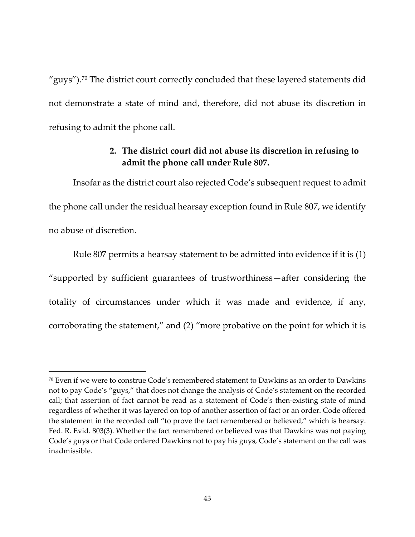"guys").<sup>[70](#page-42-0)</sup> The district court correctly concluded that these layered statements did not demonstrate a state of mind and, therefore, did not abuse its discretion in refusing to admit the phone call.

## **2. The district court did not abuse its discretion in refusing to admit the phone call under Rule 807.**

Insofar as the district court also rejected Code's subsequent request to admit the phone call under the residual hearsay exception found in Rule 807, we identify no abuse of discretion.

Rule 807 permits a hearsay statement to be admitted into evidence if it is (1) "supported by sufficient guarantees of trustworthiness—after considering the totality of circumstances under which it was made and evidence, if any, corroborating the statement," and (2) "more probative on the point for which it is

<span id="page-42-0"></span> $70$  Even if we were to construe Code's remembered statement to Dawkins as an order to Dawkins not to pay Code's "guys," that does not change the analysis of Code's statement on the recorded call; that assertion of fact cannot be read as a statement of Code's then-existing state of mind regardless of whether it was layered on top of another assertion of fact or an order. Code offered the statement in the recorded call "to prove the fact remembered or believed," which is hearsay. Fed. R. Evid. 803(3). Whether the fact remembered or believed was that Dawkins was not paying Code's guys or that Code ordered Dawkins not to pay his guys, Code's statement on the call was inadmissible.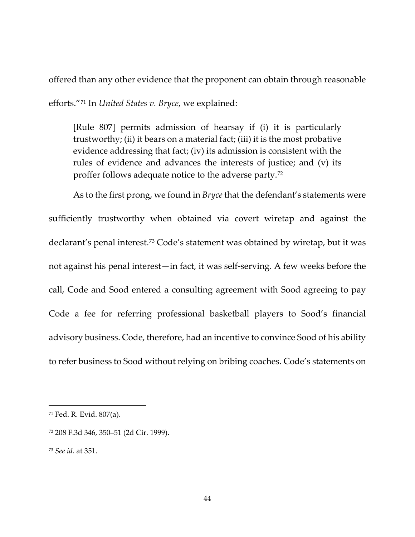offered than any other evidence that the proponent can obtain through reasonable efforts."[71](#page-43-0) In *United States v. Bryce*, we explained:

[Rule 807] permits admission of hearsay if (i) it is particularly trustworthy; (ii) it bears on a material fact; (iii) it is the most probative evidence addressing that fact; (iv) its admission is consistent with the rules of evidence and advances the interests of justice; and (v) its proffer follows adequate notice to the adverse party.[72](#page-43-1)

As to the first prong, we found in *Bryce* that the defendant's statements were sufficiently trustworthy when obtained via covert wiretap and against the declarant's penal interest.[73](#page-43-2) Code's statement was obtained by wiretap, but it was not against his penal interest—in fact, it was self-serving. A few weeks before the call, Code and Sood entered a consulting agreement with Sood agreeing to pay Code a fee for referring professional basketball players to Sood's financial advisory business. Code, therefore, had an incentive to convince Sood of his ability to refer business to Sood without relying on bribing coaches. Code's statements on

<span id="page-43-0"></span><sup>71</sup> Fed. R. Evid. 807(a).

<span id="page-43-1"></span><sup>72</sup> 208 F.3d 346, 350–51 (2d Cir. 1999).

<span id="page-43-2"></span><sup>73</sup> *See id.* at 351.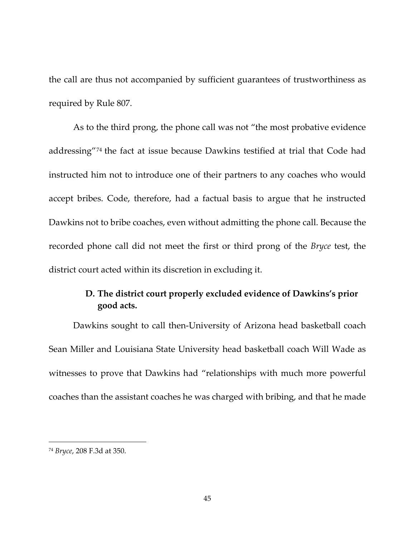the call are thus not accompanied by sufficient guarantees of trustworthiness as required by Rule 807.

As to the third prong, the phone call was not "the most probative evidence addressing"[74](#page-44-0) the fact at issue because Dawkins testified at trial that Code had instructed him not to introduce one of their partners to any coaches who would accept bribes. Code, therefore, had a factual basis to argue that he instructed Dawkins not to bribe coaches, even without admitting the phone call. Because the recorded phone call did not meet the first or third prong of the *Bryce* test, the district court acted within its discretion in excluding it.

# **D. The district court properly excluded evidence of Dawkins's prior good acts.**

Dawkins sought to call then-University of Arizona head basketball coach Sean Miller and Louisiana State University head basketball coach Will Wade as witnesses to prove that Dawkins had "relationships with much more powerful coaches than the assistant coaches he was charged with bribing, and that he made

<span id="page-44-0"></span><sup>74</sup> *Bryce*, 208 F.3d at 350.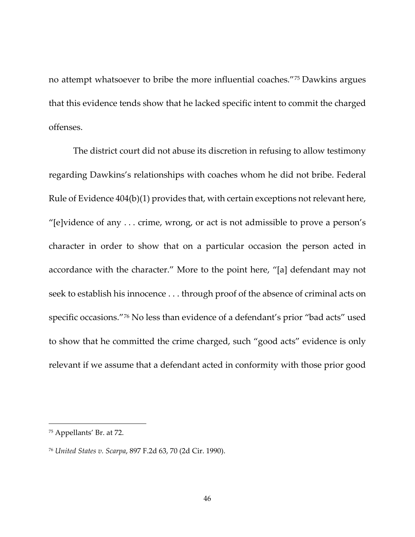no attempt whatsoever to bribe the more influential coaches."[75](#page-45-0) Dawkins argues that this evidence tends show that he lacked specific intent to commit the charged offenses.

The district court did not abuse its discretion in refusing to allow testimony regarding Dawkins's relationships with coaches whom he did not bribe. Federal Rule of Evidence 404(b)(1) provides that, with certain exceptions not relevant here, "[e]vidence of any . . . crime, wrong, or act is not admissible to prove a person's character in order to show that on a particular occasion the person acted in accordance with the character." More to the point here, "[a] defendant may not seek to establish his innocence . . . through proof of the absence of criminal acts on specific occasions."[76](#page-45-1) No less than evidence of a defendant's prior "bad acts" used to show that he committed the crime charged, such "good acts" evidence is only relevant if we assume that a defendant acted in conformity with those prior good

<span id="page-45-0"></span><sup>75</sup> Appellants' Br. at 72.

<span id="page-45-1"></span><sup>76</sup> *United States v. Scarpa*, 897 F.2d 63, 70 (2d Cir. 1990).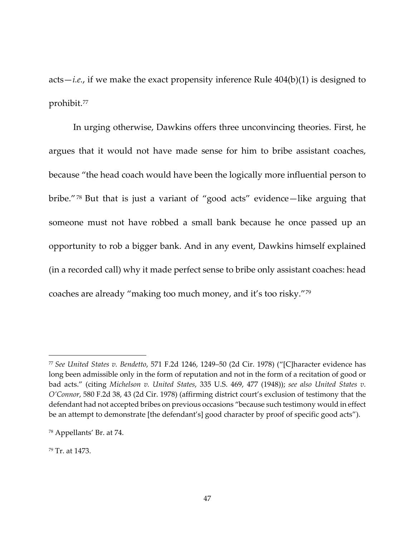acts—*i.e.*, if we make the exact propensity inference Rule 404(b)(1) is designed to prohibit.[77](#page-46-0)

In urging otherwise, Dawkins offers three unconvincing theories. First, he argues that it would not have made sense for him to bribe assistant coaches, because "the head coach would have been the logically more influential person to bribe."[78](#page-46-1) But that is just a variant of "good acts" evidence—like arguing that someone must not have robbed a small bank because he once passed up an opportunity to rob a bigger bank. And in any event, Dawkins himself explained (in a recorded call) why it made perfect sense to bribe only assistant coaches: head coaches are already "making too much money, and it's too risky."[79](#page-46-2)

<span id="page-46-2"></span><sup>79</sup> Tr. at 1473.

<span id="page-46-0"></span><sup>77</sup> *See United States v. Bendetto*, 571 F.2d 1246, 1249–50 (2d Cir. 1978) ("[C]haracter evidence has long been admissible only in the form of reputation and not in the form of a recitation of good or bad acts." (citing *Michelson v. United States*, 335 U.S. 469, 477 (1948)); *see also United States v. O'Connor*, 580 F.2d 38, 43 (2d Cir. 1978) (affirming district court's exclusion of testimony that the defendant had not accepted bribes on previous occasions "because such testimony would in effect be an attempt to demonstrate [the defendant's] good character by proof of specific good acts").

<span id="page-46-1"></span><sup>78</sup> Appellants' Br. at 74.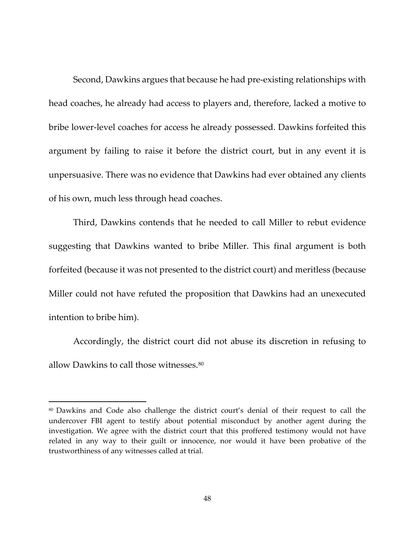Second, Dawkins argues that because he had pre-existing relationships with head coaches, he already had access to players and, therefore, lacked a motive to bribe lower-level coaches for access he already possessed. Dawkins forfeited this argument by failing to raise it before the district court, but in any event it is unpersuasive. There was no evidence that Dawkins had ever obtained any clients of his own, much less through head coaches.

Third, Dawkins contends that he needed to call Miller to rebut evidence suggesting that Dawkins wanted to bribe Miller. This final argument is both forfeited (because it was not presented to the district court) and meritless (because Miller could not have refuted the proposition that Dawkins had an unexecuted intention to bribe him).

<span id="page-47-1"></span>Accordingly, the district court did not abuse its discretion in refusing to allow Dawkins to call those witnesses.<sup>[80](#page-47-0)</sup>

<span id="page-47-0"></span><sup>80</sup> Dawkins and Code also challenge the district court's denial of their request to call the undercover FBI agent to testify about potential misconduct by another agent during the investigation. We agree with the district court that this proffered testimony would not have related in any way to their guilt or innocence, nor would it have been probative of the trustworthiness of any witnesses called at trial.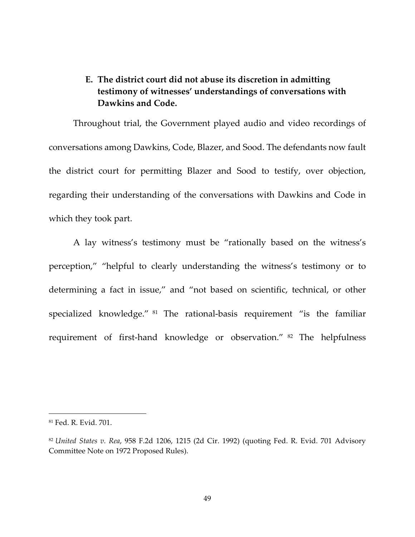## **E. The district court did not abuse its discretion in admitting testimony of witnesses' understandings of conversations with Dawkins and Code.**

Throughout trial, the Government played audio and video recordings of conversations among Dawkins, Code, Blazer, and Sood. The defendants now fault the district court for permitting Blazer and Sood to testify, over objection, regarding their understanding of the conversations with Dawkins and Code in which they took part.

A lay witness's testimony must be "rationally based on the witness's perception," "helpful to clearly understanding the witness's testimony or to determining a fact in issue," and "not based on scientific, technical, or other specialized knowledge." [81](#page-48-0) The rational-basis requirement "is the familiar requirement of first-hand knowledge or observation." [82](#page-48-1) The helpfulness

<span id="page-48-0"></span><sup>81</sup> Fed. R. Evid. 701.

<span id="page-48-1"></span><sup>82</sup> *United States v. Rea*, 958 F.2d 1206, 1215 (2d Cir. 1992) (quoting Fed. R. Evid. 701 Advisory Committee Note on 1972 Proposed Rules).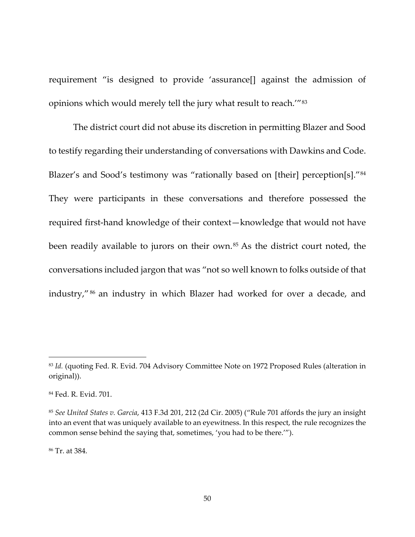requirement "is designed to provide 'assurance[] against the admission of opinions which would merely tell the jury what result to reach.'"[83](#page-49-0)

The district court did not abuse its discretion in permitting Blazer and Sood to testify regarding their understanding of conversations with Dawkins and Code. Blazer's and Sood's testimony was "rationally based on [their] perception[s]."<sup>[84](#page-49-1)</sup> They were participants in these conversations and therefore possessed the required first-hand knowledge of their context—knowledge that would not have been readily available to jurors on their own.<sup>[85](#page-49-2)</sup> As the district court noted, the conversations included jargon that was "not so well known to folks outside of that industry," [86](#page-49-3) an industry in which Blazer had worked for over a decade, and

<span id="page-49-3"></span><sup>86</sup> Tr. at 384.

<span id="page-49-0"></span><sup>83</sup> *Id.* (quoting Fed. R. Evid. 704 Advisory Committee Note on 1972 Proposed Rules (alteration in original)).

<span id="page-49-1"></span><sup>84</sup> Fed. R. Evid. 701.

<span id="page-49-2"></span><sup>85</sup> *See United States v. Garcia*, 413 F.3d 201, 212 (2d Cir. 2005) ("Rule 701 affords the jury an insight into an event that was uniquely available to an eyewitness. In this respect, the rule recognizes the common sense behind the saying that, sometimes, 'you had to be there.'").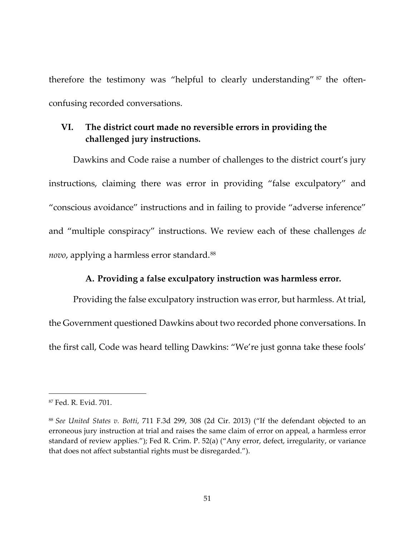therefore the testimony was "helpful to clearly understanding" [87](#page-50-0) the oftenconfusing recorded conversations.

### **VI. The district court made no reversible errors in providing the challenged jury instructions.**

Dawkins and Code raise a number of challenges to the district court's jury instructions, claiming there was error in providing "false exculpatory" and "conscious avoidance" instructions and in failing to provide "adverse inference" and "multiple conspiracy" instructions. We review each of these challenges *de novo*, applying a harmless error standard.[88](#page-50-1)

#### **A. Providing a false exculpatory instruction was harmless error.**

Providing the false exculpatory instruction was error, but harmless. At trial, the Government questioned Dawkins about two recorded phone conversations. In the first call, Code was heard telling Dawkins: "We're just gonna take these fools'

<span id="page-50-0"></span><sup>87</sup> Fed. R. Evid. 701.

<span id="page-50-1"></span><sup>88</sup> *See United States v. Botti*, 711 F.3d 299, 308 (2d Cir. 2013) ("If the defendant objected to an erroneous jury instruction at trial and raises the same claim of error on appeal, a harmless error standard of review applies."); Fed R. Crim. P. 52(a) ("Any error, defect, irregularity, or variance that does not affect substantial rights must be disregarded.").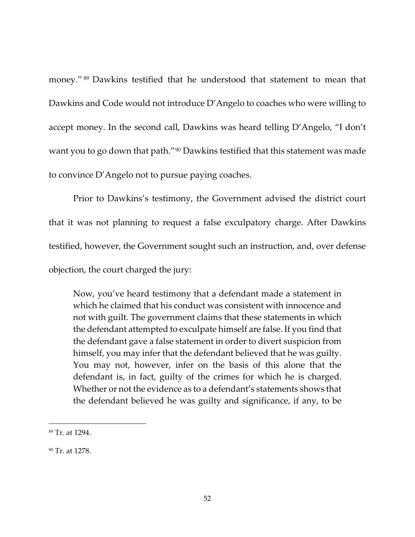money." [89](#page-51-0) Dawkins testified that he understood that statement to mean that Dawkins and Code would not introduce D'Angelo to coaches who were willing to accept money. In the second call, Dawkins was heard telling D'Angelo, "I don't want you to go down that path."<sup>[90](#page-51-1)</sup> Dawkins testified that this statement was made to convince D'Angelo not to pursue paying coaches.

Prior to Dawkins's testimony, the Government advised the district court that it was not planning to request a false exculpatory charge. After Dawkins testified, however, the Government sought such an instruction, and, over defense objection, the court charged the jury:

Now, you've heard testimony that a defendant made a statement in which he claimed that his conduct was consistent with innocence and not with guilt. The government claims that these statements in which the defendant attempted to exculpate himself are false. If you find that the defendant gave a false statement in order to divert suspicion from himself, you may infer that the defendant believed that he was guilty. You may not, however, infer on the basis of this alone that the defendant is, in fact, guilty of the crimes for which he is charged. Whether or not the evidence as to a defendant's statements shows that the defendant believed he was guilty and significance, if any, to be

<span id="page-51-0"></span><sup>89</sup> Tr. at 1294.

<span id="page-51-1"></span><sup>90</sup> Tr. at 1278.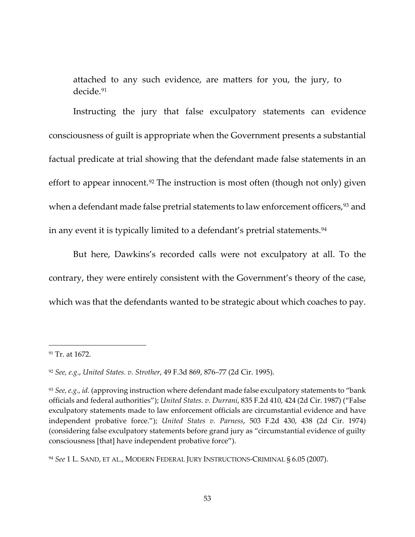attached to any such evidence, are matters for you, the jury, to decide.[91](#page-52-0)

Instructing the jury that false exculpatory statements can evidence consciousness of guilt is appropriate when the Government presents a substantial factual predicate at trial showing that the defendant made false statements in an effort to appear innocent.<sup>[92](#page-52-1)</sup> The instruction is most often (though not only) given when a defendant made false pretrial statements to law enforcement officers,<sup>[93](#page-52-2)</sup> and in any event it is typically limited to a defendant's pretrial statements.<sup>[94](#page-52-3)</sup>

But here, Dawkins's recorded calls were not exculpatory at all. To the contrary, they were entirely consistent with the Government's theory of the case, which was that the defendants wanted to be strategic about which coaches to pay.

<span id="page-52-0"></span><sup>91</sup> Tr. at 1672.

<span id="page-52-1"></span><sup>92</sup> *See, e.g*., *United States. v. Strother*, 49 F.3d 869, 876–77 (2d Cir. 1995).

<span id="page-52-2"></span><sup>93</sup> *See, e.g., id.* (approving instruction where defendant made false exculpatory statements to "bank officials and federal authorities"); *United States. v. Durrani*, 835 F.2d 410, 424 (2d Cir. 1987) ("False exculpatory statements made to law enforcement officials are circumstantial evidence and have independent probative force."); *United States v. Parness*, 503 F.2d 430, 438 (2d Cir. 1974) (considering false exculpatory statements before grand jury as "circumstantial evidence of guilty consciousness [that] have independent probative force").

<span id="page-52-3"></span><sup>94</sup> *See* 1 L. SAND, ET AL., MODERN FEDERAL JURY INSTRUCTIONS-CRIMINAL § 6.05 (2007).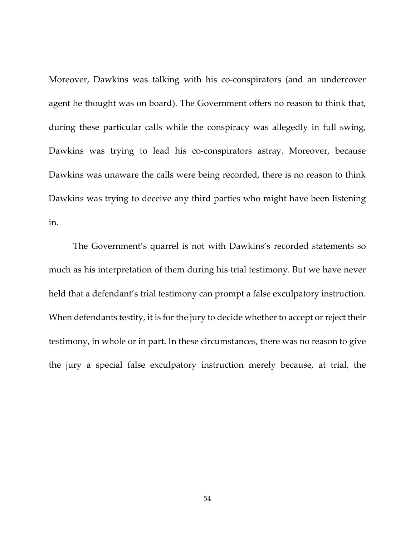Moreover, Dawkins was talking with his co-conspirators (and an undercover agent he thought was on board). The Government offers no reason to think that, during these particular calls while the conspiracy was allegedly in full swing, Dawkins was trying to lead his co-conspirators astray. Moreover, because Dawkins was unaware the calls were being recorded, there is no reason to think Dawkins was trying to deceive any third parties who might have been listening in.

The Government's quarrel is not with Dawkins's recorded statements so much as his interpretation of them during his trial testimony. But we have never held that a defendant's trial testimony can prompt a false exculpatory instruction. When defendants testify, it is for the jury to decide whether to accept or reject their testimony, in whole or in part. In these circumstances, there was no reason to give the jury a special false exculpatory instruction merely because, at trial, the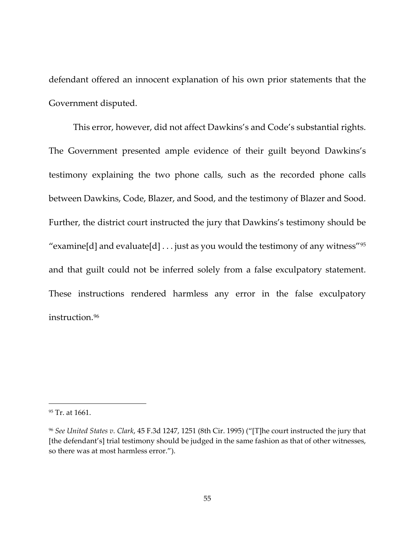defendant offered an innocent explanation of his own prior statements that the Government disputed.

This error, however, did not affect Dawkins's and Code's substantial rights. The Government presented ample evidence of their guilt beyond Dawkins's testimony explaining the two phone calls, such as the recorded phone calls between Dawkins, Code, Blazer, and Sood, and the testimony of Blazer and Sood. Further, the district court instructed the jury that Dawkins's testimony should be "examine[d] and evaluate[d]  $\dots$  just as you would the testimony of any witness"<sup>[95](#page-54-0)</sup> and that guilt could not be inferred solely from a false exculpatory statement. These instructions rendered harmless any error in the false exculpatory instruction.<sup>[96](#page-54-1)</sup>

<span id="page-54-0"></span><sup>95</sup> Tr. at 1661.

<span id="page-54-1"></span><sup>96</sup> *See United States v. Clark*, 45 F.3d 1247, 1251 (8th Cir. 1995) ("[T]he court instructed the jury that [the defendant's] trial testimony should be judged in the same fashion as that of other witnesses, so there was at most harmless error.").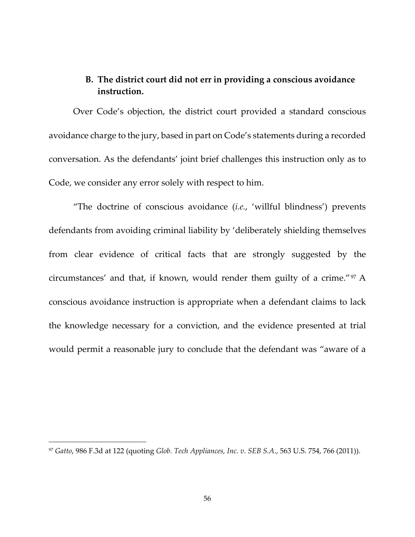# **B. The district court did not err in providing a conscious avoidance instruction.**

Over Code's objection, the district court provided a standard conscious avoidance charge to the jury, based in part on Code's statements during a recorded conversation. As the defendants' joint brief challenges this instruction only as to Code, we consider any error solely with respect to him.

"The doctrine of conscious avoidance (*i.e.*, 'willful blindness') prevents defendants from avoiding criminal liability by 'deliberately shielding themselves from clear evidence of critical facts that are strongly suggested by the circumstances' and that, if known, would render them guilty of a crime."[97](#page-55-0) A conscious avoidance instruction is appropriate when a defendant claims to lack the knowledge necessary for a conviction, and the evidence presented at trial would permit a reasonable jury to conclude that the defendant was "aware of a

<span id="page-55-0"></span><sup>97</sup> *Gatto*, 986 F.3d at 122 (quoting *Glob. Tech Appliances, Inc. v. SEB S.A*., 563 U.S. 754, 766 (2011)).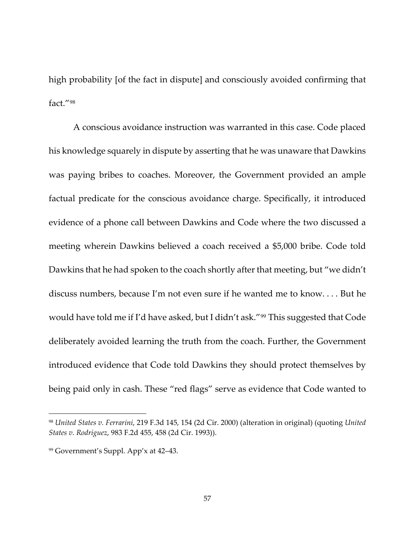high probability [of the fact in dispute] and consciously avoided confirming that fact."[98](#page-56-0)

A conscious avoidance instruction was warranted in this case. Code placed his knowledge squarely in dispute by asserting that he was unaware that Dawkins was paying bribes to coaches. Moreover, the Government provided an ample factual predicate for the conscious avoidance charge. Specifically, it introduced evidence of a phone call between Dawkins and Code where the two discussed a meeting wherein Dawkins believed a coach received a \$5,000 bribe. Code told Dawkins that he had spoken to the coach shortly after that meeting, but "we didn't discuss numbers, because I'm not even sure if he wanted me to know. . . . But he would have told me if I'd have asked, but I didn't ask."[99](#page-56-1) This suggested that Code deliberately avoided learning the truth from the coach. Further, the Government introduced evidence that Code told Dawkins they should protect themselves by being paid only in cash. These "red flags" serve as evidence that Code wanted to

<span id="page-56-0"></span><sup>98</sup> *United States v. Ferrarini*, 219 F.3d 145, 154 (2d Cir. 2000) (alteration in original) (quoting *United States v. Rodriguez*, 983 F.2d 455, 458 (2d Cir. 1993)).

<span id="page-56-1"></span><sup>99</sup> Government's Suppl. App'x at 42–43.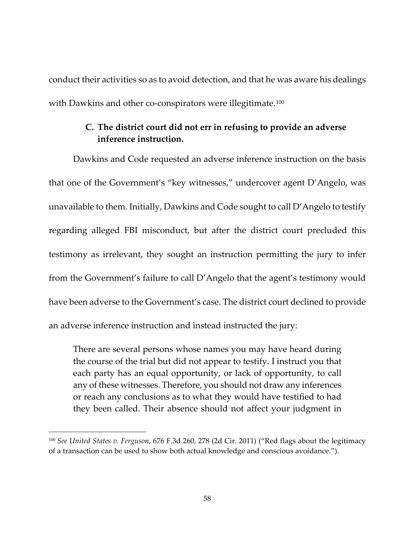conduct their activities so as to avoid detection, and that he was aware his dealings with Dawkins and other co-conspirators were illegitimate.<sup>[100](#page-57-0)</sup>

#### **C. The district court did not err in refusing to provide an adverse inference instruction.**

Dawkins and Code requested an adverse inference instruction on the basis that one of the Government's "key witnesses," undercover agent D'Angelo, was unavailable to them. Initially, Dawkins and Code sought to call D'Angelo to testify regarding alleged FBI misconduct, but after the district court precluded this testimony as irrelevant, they sought an instruction permitting the jury to infer from the Government's failure to call D'Angelo that the agent's testimony would have been adverse to the Government's case. The district court declined to provide an adverse inference instruction and instead instructed the jury:

There are several persons whose names you may have heard during the course of the trial but did not appear to testify. I instruct you that each party has an equal opportunity, or lack of opportunity, to call any of these witnesses. Therefore, you should not draw any inferences or reach any conclusions as to what they would have testified to had they been called. Their absence should not affect your judgment in

<span id="page-57-0"></span><sup>100</sup> *See United States v. Ferguson*, 676 F.3d 260, 278 (2d Cir. 2011) ("Red flags about the legitimacy of a transaction can be used to show both actual knowledge and conscious avoidance.").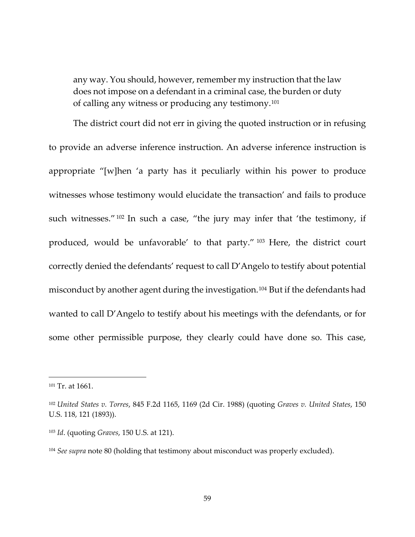any way. You should, however, remember my instruction that the law does not impose on a defendant in a criminal case, the burden or duty of calling any witness or producing any testimony.[101](#page-58-0)

The district court did not err in giving the quoted instruction or in refusing to provide an adverse inference instruction. An adverse inference instruction is appropriate "[w]hen 'a party has it peculiarly within his power to produce witnesses whose testimony would elucidate the transaction' and fails to produce such witnesses." <sup>[102](#page-58-1)</sup> In such a case, "the jury may infer that 'the testimony, if produced, would be unfavorable' to that party." [103](#page-58-2) Here, the district court correctly denied the defendants' request to call D'Angelo to testify about potential misconduct by another agent during the investigation.<sup>[104](#page-58-3)</sup> But if the defendants had wanted to call D'Angelo to testify about his meetings with the defendants, or for some other permissible purpose, they clearly could have done so. This case,

<span id="page-58-0"></span><sup>101</sup> Tr. at 1661.

<span id="page-58-1"></span><sup>102</sup> *United States v. Torres*, 845 F.2d 1165, 1169 (2d Cir. 1988) (quoting *Graves v. United States*, 150 U.S. 118, 121 (1893)).

<span id="page-58-2"></span><sup>103</sup> *Id*. (quoting *Graves*, 150 U.S. at 121).

<span id="page-58-3"></span><sup>&</sup>lt;sup>104</sup> *See supra* note [80](#page-47-1) (holding that testimony about misconduct was properly excluded).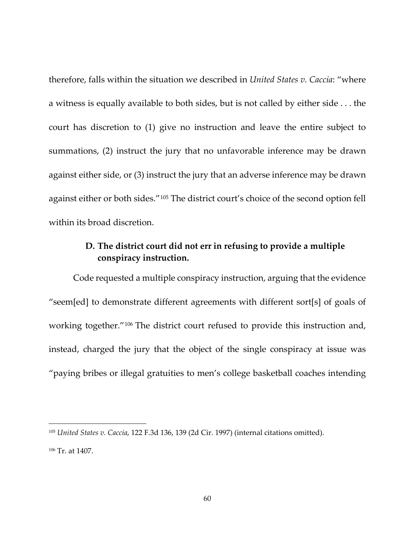therefore, falls within the situation we described in *United States v. Caccia*: "where a witness is equally available to both sides, but is not called by either side . . . the court has discretion to (1) give no instruction and leave the entire subject to summations, (2) instruct the jury that no unfavorable inference may be drawn against either side, or (3) instruct the jury that an adverse inference may be drawn against either or both sides."[105](#page-59-0) The district court's choice of the second option fell within its broad discretion.

## **D. The district court did not err in refusing to provide a multiple conspiracy instruction.**

Code requested a multiple conspiracy instruction, arguing that the evidence "seem[ed] to demonstrate different agreements with different sort[s] of goals of working together."[106](#page-59-1) The district court refused to provide this instruction and, instead, charged the jury that the object of the single conspiracy at issue was "paying bribes or illegal gratuities to men's college basketball coaches intending

<span id="page-59-0"></span><sup>105</sup> *United States v. Caccia*, 122 F.3d 136, 139 (2d Cir. 1997) (internal citations omitted).

<span id="page-59-1"></span><sup>106</sup> Tr. at 1407.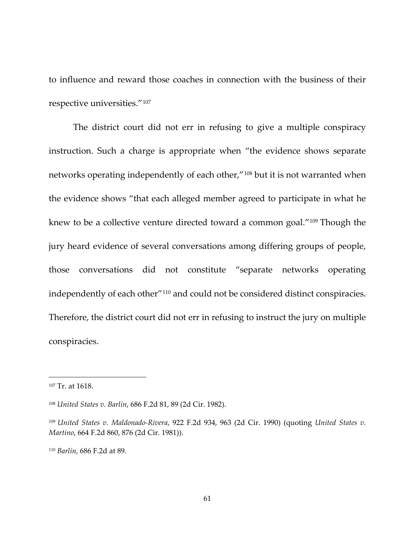to influence and reward those coaches in connection with the business of their respective universities."[107](#page-60-0)

The district court did not err in refusing to give a multiple conspiracy instruction. Such a charge is appropriate when "the evidence shows separate networks operating independently of each other,"[108](#page-60-1) but it is not warranted when the evidence shows "that each alleged member agreed to participate in what he knew to be a collective venture directed toward a common goal."[109](#page-60-2) Though the jury heard evidence of several conversations among differing groups of people, those conversations did not constitute "separate networks operating independently of each other"[110](#page-60-3) and could not be considered distinct conspiracies. Therefore, the district court did not err in refusing to instruct the jury on multiple conspiracies.

<span id="page-60-0"></span><sup>107</sup> Tr. at 1618.

<span id="page-60-1"></span><sup>108</sup> *United States v. Barlin*, 686 F.2d 81, 89 (2d Cir. 1982).

<span id="page-60-2"></span><sup>109</sup> *United States v. Maldonado-Rivera*, 922 F.2d 934, 963 (2d Cir. 1990) (quoting *United States v. Martino*, 664 F.2d 860, 876 (2d Cir. 1981)).

<span id="page-60-3"></span><sup>110</sup> *Barlin*, 686 F.2d at 89.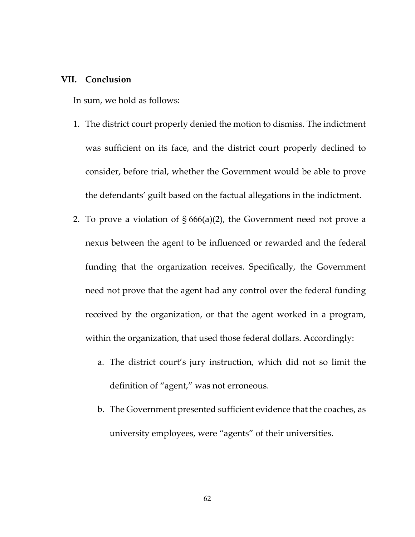#### **VII. Conclusion**

In sum, we hold as follows:

- 1. The district court properly denied the motion to dismiss. The indictment was sufficient on its face, and the district court properly declined to consider, before trial, whether the Government would be able to prove the defendants' guilt based on the factual allegations in the indictment.
- 2. To prove a violation of  $\S 666(a)(2)$ , the Government need not prove a nexus between the agent to be influenced or rewarded and the federal funding that the organization receives. Specifically, the Government need not prove that the agent had any control over the federal funding received by the organization, or that the agent worked in a program, within the organization, that used those federal dollars. Accordingly:
	- a. The district court's jury instruction, which did not so limit the definition of "agent," was not erroneous.
	- b. The Government presented sufficient evidence that the coaches, as university employees, were "agents" of their universities.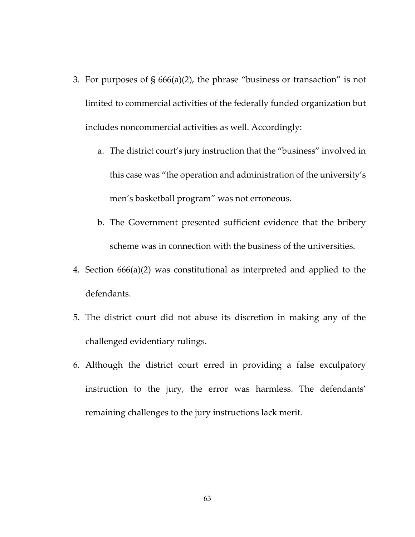- 3. For purposes of § 666(a)(2), the phrase "business or transaction" is not limited to commercial activities of the federally funded organization but includes noncommercial activities as well. Accordingly:
	- a. The district court's jury instruction that the "business" involved in this case was "the operation and administration of the university's men's basketball program" was not erroneous.
	- b. The Government presented sufficient evidence that the bribery scheme was in connection with the business of the universities.
- 4. Section 666(a)(2) was constitutional as interpreted and applied to the defendants.
- 5. The district court did not abuse its discretion in making any of the challenged evidentiary rulings.
- 6. Although the district court erred in providing a false exculpatory instruction to the jury, the error was harmless. The defendants' remaining challenges to the jury instructions lack merit.